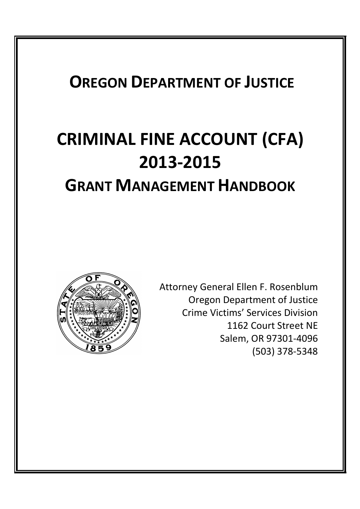# **OREGON DEPARTMENT OF JUSTICE**

# **CRIMINAL FINE ACCOUNT (CFA) 2013-2015 GRANT MANAGEMENT HANDBOOK**



Attorney General Ellen F. Rosenblum Oregon Department of Justice Crime Victims' Services Division 1162 Court Street NE Salem, OR 97301-4096 (503) 378-5348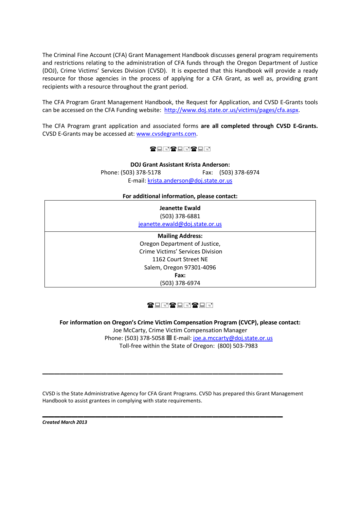The Criminal Fine Account (CFA) Grant Management Handbook discusses general program requirements and restrictions relating to the administration of CFA funds through the Oregon Department of Justice (DOJ), Crime Victims' Services Division (CVSD). It is expected that this Handbook will provide a ready resource for those agencies in the process of applying for a CFA Grant, as well as, providing grant recipients with a resource throughout the grant period.

The CFA Program Grant Management Handbook, the Request for Application, and CVSD E-Grants tools can be accessed on the CFA Funding website: http://www.doj.state.or.us/victims/pages/cfa.aspx.

The CFA Program grant application and associated forms **are all completed through CVSD E-Grants.** CVSD E-Grants may be accessed at: www.cvsdegrants.com.

#### **THET REPT RE**

**DOJ Grant Assistant Krista Anderson:** Phone: (503) 378-5178 Fax: (503) 378-6974 E-mail: krista.anderson@doj.state.or.us

#### **For additional information, please contact:**

| <b>Jeanette Ewald</b><br>(503) 378-6881<br>jeanette.ewald@doj.state.or.us |  |
|---------------------------------------------------------------------------|--|
| <b>Mailing Address:</b>                                                   |  |
| Oregon Department of Justice,                                             |  |
| <b>Crime Victims' Services Division</b>                                   |  |
| 1162 Court Street NE                                                      |  |
| Salem, Oregon 97301-4096                                                  |  |
| Fax:                                                                      |  |
| (503) 378-6974                                                            |  |

# **THETHETH**

**For information on Oregon's Crime Victim Compensation Program (CVCP), please contact:** Joe McCarty, Crime Victim Compensation Manager Phone: (503) 378-5058 回 E-mail: joe.a.mccarty@doj.state.or.us Toll-free within the State of Oregon: (800) 503-7983

CVSD is the State Administrative Agency for CFA Grant Programs. CVSD has prepared this Grant Management Handbook to assist grantees in complying with state requirements.

 $\overline{\phantom{a}}$  , and the contract of the contract of the contract of the contract of the contract of the contract of the contract of the contract of the contract of the contract of the contract of the contract of the contrac

**\_\_\_\_\_\_\_\_\_\_\_\_\_\_\_\_\_\_\_\_\_\_\_\_\_\_\_\_\_\_\_\_\_\_\_\_\_\_\_\_\_**

*Created March 2013*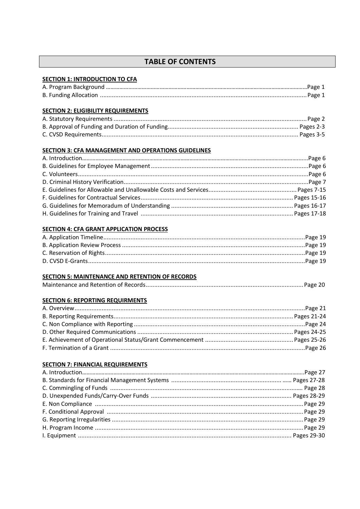# **TABLE OF CONTENTS**

#### **SECTION 1: INTRODUCTION TO CFA**

#### **SECTION 2: ELIGIBILITY REQUIREMENTS**

#### **SECTION 3: CFA MANAGEMENT AND OPERATIONS GUIDELINES**

#### **SECTION 4: CFA GRANT APPLICATION PROCESS**

#### **SECTION 5: MAINTENANCE AND RETENTION OF RECORDS**

|--|--|

#### **SECTION 6: REPORTING REQUIRMENTS**

#### **SECTION 7: FINANCIAL REQUIREMENTS**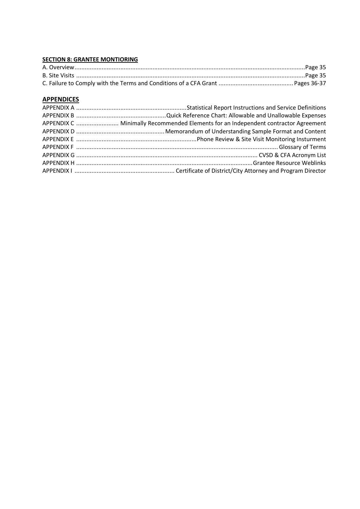#### **SECTION 8: GRANTEE MONTIORING**

# **APPENDICES**

| APPENDIX C  Minimally Recommended Elements for an Independent contractor Agreement |
|------------------------------------------------------------------------------------|
|                                                                                    |
|                                                                                    |
|                                                                                    |
|                                                                                    |
|                                                                                    |
|                                                                                    |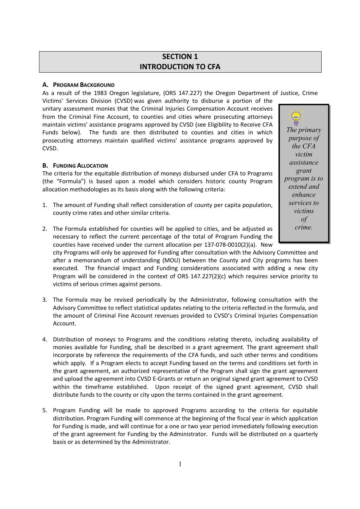# **SECTION 1 INTRODUCTION TO CFA**

#### **A. PROGRAM BACKGROUND**

As a result of the 1983 Oregon legislature, (ORS 147.227) the Oregon Department of Justice, Crime

Victims' Services Division (CVSD) was given authority to disburse a portion of the unitary assessment monies that the Criminal Injuries Compensation Account receives from the Criminal Fine Account, to counties and cities where prosecuting attorneys maintain victims' assistance programs approved by CVSD (see Eligibility to Receive CFA Funds below). The funds are then distributed to counties and cities in which prosecuting attorneys maintain qualified victims' assistance programs approved by CVSD.

#### **B. FUNDING ALLOCATION**

The criteria for the equitable distribution of moneys disbursed under CFA to Programs (the "Formula") is based upon a model which considers historic county Program allocation methodologies as its basis along with the following criteria:

- 1. The amount of Funding shall reflect consideration of county per capita population, county crime rates and other similar criteria.
- 2. The Formula established for counties will be applied to cities, and be adjusted as necessary to reflect the current percentage of the total of Program Funding the counties have received under the current allocation per 137-078-0010(2)(a). New

city Programs will only be approved for Funding after consultation with the Advisory Committee and after a memorandum of understanding (MOU) between the County and City programs has been executed. The financial impact and Funding considerations associated with adding a new city Program will be considered in the context of ORS 147.227(2)(c) which requires service priority to victims of serious crimes against persons.

- 3. The Formula may be revised periodically by the Administrator, following consultation with the Advisory Committee to reflect statistical updates relating to the criteria reflected in the formula, and the amount of Criminal Fine Account revenues provided to CVSD's Criminal Injuries Compensation Account.
- 4. Distribution of moneys to Programs and the conditions relating thereto, including availability of monies available for Funding, shall be described in a grant agreement. The grant agreement shall incorporate by reference the requirements of the CFA funds, and such other terms and conditions which apply. If a Program elects to accept Funding based on the terms and conditions set forth in the grant agreement, an authorized representative of the Program shall sign the grant agreement and upload the agreement into CVSD E-Grants or return an original signed grant agreement to CVSD within the timeframe established. Upon receipt of the signed grant agreement, CVSD shall distribute funds to the county or city upon the terms contained in the grant agreement.
- 5. Program Funding will be made to approved Programs according to the criteria for equitable distribution. Program Funding will commence at the beginning of the fiscal year in which application for Funding is made, and will continue for a one or two year period immediately following execution of the grant agreement for Funding by the Administrator. Funds will be distributed on a quarterly basis or as determined by the Administrator.

 $\left(\frac{1}{2}a\right)$ *The primary purpose of the CFA victim assistance grant program is to extend and enhance services to victims of crime.*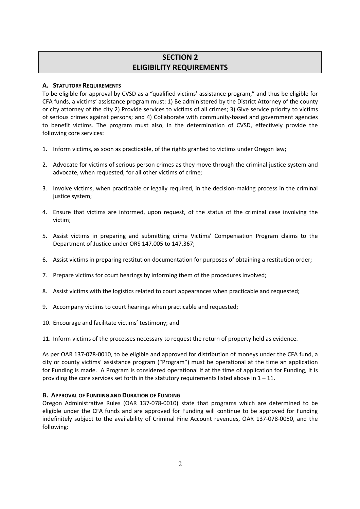# **SECTION 2 ELIGIBILITY REQUIREMENTS**

#### **A. STATUTORY REQUIREMENTS**

To be eligible for approval by CVSD as a "qualified victims' assistance program," and thus be eligible for CFA funds, a victims' assistance program must: 1) Be administered by the District Attorney of the county or city attorney of the city 2) Provide services to victims of all crimes; 3) Give service priority to victims of serious crimes against persons; and 4) Collaborate with community-based and government agencies to benefit victims. The program must also, in the determination of CVSD, effectively provide the following core services:

- 1. Inform victims, as soon as practicable, of the rights granted to victims under Oregon law;
- 2. Advocate for victims of serious person crimes as they move through the criminal justice system and advocate, when requested, for all other victims of crime;
- 3. Involve victims, when practicable or legally required, in the decision-making process in the criminal justice system;
- 4. Ensure that victims are informed, upon request, of the status of the criminal case involving the victim;
- 5. Assist victims in preparing and submitting crime Victims' Compensation Program claims to the Department of Justice under ORS 147.005 to 147.367;
- 6. Assist victims in preparing restitution documentation for purposes of obtaining a restitution order;
- 7. Prepare victims for court hearings by informing them of the procedures involved;
- 8. Assist victims with the logistics related to court appearances when practicable and requested;
- 9. Accompany victims to court hearings when practicable and requested;
- 10. Encourage and facilitate victims' testimony; and

11. Inform victims of the processes necessary to request the return of property held as evidence.

As per OAR 137-078-0010, to be eligible and approved for distribution of moneys under the CFA fund, a city or county victims' assistance program ("Program") must be operational at the time an application for Funding is made. A Program is considered operational if at the time of application for Funding, it is providing the core services set forth in the statutory requirements listed above in  $1 - 11$ .

#### **B. APPROVAL OF FUNDING AND DURATION OF FUNDING**

Oregon Administrative Rules (OAR 137-078-0010) state that programs which are determined to be eligible under the CFA funds and are approved for Funding will continue to be approved for Funding indefinitely subject to the availability of Criminal Fine Account revenues, OAR 137-078-0050, and the following: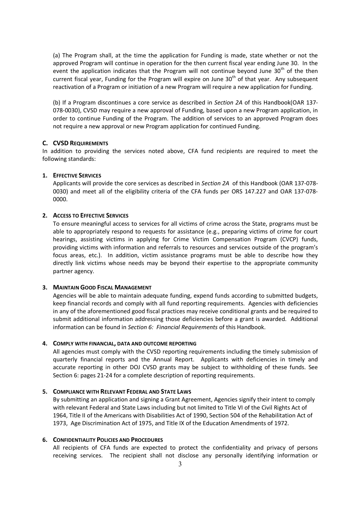(a) The Program shall, at the time the application for Funding is made, state whether or not the approved Program will continue in operation for the then current fiscal year ending June 30. In the event the application indicates that the Program will not continue beyond June  $30<sup>th</sup>$  of the then current fiscal year, Funding for the Program will expire on June  $30<sup>th</sup>$  of that year. Any subsequent reactivation of a Program or initiation of a new Program will require a new application for Funding.

(b) If a Program discontinues a core service as described in *Section 2A* of this Handbook(OAR 137- 078-0030), CVSD may require a new approval of Funding, based upon a new Program application, in order to continue Funding of the Program. The addition of services to an approved Program does not require a new approval or new Program application for continued Funding.

#### **C. CVSD REQUIREMENTS**

In addition to providing the services noted above, CFA fund recipients are required to meet the following standards:

#### **1. EFFECTIVE SERVICES**

Applicants will provide the core services as described in *Section 2A* of this Handbook (OAR 137-078- 0030) and meet all of the eligibility criteria of the CFA funds per ORS 147.227 and OAR 137-078- 0000.

#### **2. ACCESS TO EFFECTIVE SERVICES**

To ensure meaningful access to services for all victims of crime across the State, programs must be able to appropriately respond to requests for assistance (e.g., preparing victims of crime for court hearings, assisting victims in applying for Crime Victim Compensation Program (CVCP) funds, providing victims with information and referrals to resources and services outside of the program's focus areas, etc.). In addition, victim assistance programs must be able to describe how they directly link victims whose needs may be beyond their expertise to the appropriate community partner agency.

#### **3. MAINTAIN GOOD FISCAL MANAGEMENT**

Agencies will be able to maintain adequate funding, expend funds according to submitted budgets, keep financial records and comply with all fund reporting requirements. Agencies with deficiencies in any of the aforementioned good fiscal practices may receive conditional grants and be required to submit additional information addressing those deficiencies before a grant is awarded. Additional information can be found in *Section 6: Financial Requirements* of this Handbook.

#### **4. COMPLY WITH FINANCIAL, DATA AND OUTCOME REPORTING**

All agencies must comply with the CVSD reporting requirements including the timely submission of quarterly financial reports and the Annual Report. Applicants with deficiencies in timely and accurate reporting in other DOJ CVSD grants may be subject to withholding of these funds. See Section 6: pages 21-24 for a complete description of reporting requirements.

#### **5. COMPLIANCE WITH RELEVANT FEDERAL AND STATE LAWS**

By submitting an application and signing a Grant Agreement, Agencies signify their intent to comply with relevant Federal and State Laws including but not limited to Title VI of the Civil Rights Act of 1964, Title II of the Americans with Disabilities Act of 1990, Section 504 of the Rehabilitation Act of 1973, Age Discrimination Act of 1975, and Title IX of the Education Amendments of 1972.

#### **6. CONFIDENTIALITY POLICIES AND PROCEDURES**

All recipients of CFA funds are expected to protect the confidentiality and privacy of persons receiving services. The recipient shall not disclose any personally identifying information or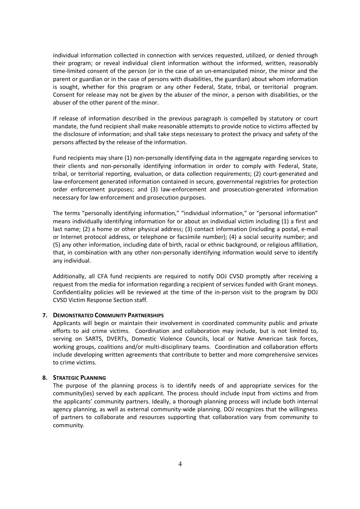individual information collected in connection with services requested, utilized, or denied through their program; or reveal individual client information without the informed, written, reasonably time-limited consent of the person (or in the case of an un-emancipated minor, the minor and the parent or guardian or in the case of persons with disabilities, the guardian) about whom information is sought, whether for this program or any other Federal, State, tribal, or territorial program. Consent for release may not be given by the abuser of the minor, a person with disabilities, or the abuser of the other parent of the minor.

If release of information described in the previous paragraph is compelled by statutory or court mandate, the fund recipient shall make reasonable attempts to provide notice to victims affected by the disclosure of information; and shall take steps necessary to protect the privacy and safety of the persons affected by the release of the information.

Fund recipients may share (1) non-personally identifying data in the aggregate regarding services to their clients and non-personally identifying information in order to comply with Federal, State, tribal, or territorial reporting, evaluation, or data collection requirements; (2) court-generated and law-enforcement generated information contained in secure, governmental registries for protection order enforcement purposes; and (3) law-enforcement and prosecution-generated information necessary for law enforcement and prosecution purposes.

The terms "personally identifying information," "individual information," or "personal information" means individually identifying information for or about an individual victim including (1) a first and last name; (2) a home or other physical address; (3) contact information (including a postal, e-mail or Internet protocol address, or telephone or facsimile number); (4) a social security number; and (5) any other information, including date of birth, racial or ethnic background, or religious affiliation, that, in combination with any other non-personally identifying information would serve to identify any individual.

Additionally, all CFA fund recipients are required to notify DOJ CVSD promptly after receiving a request from the media for information regarding a recipient of services funded with Grant moneys. Confidentiality policies will be reviewed at the time of the in-person visit to the program by DOJ CVSD Victim Response Section staff.

#### **7. DEMONSTRATED COMMUNITY PARTNERSHIPS**

Applicants will begin or maintain their involvement in coordinated community public and private efforts to aid crime victims. Coordination and collaboration may include, but is not limited to, serving on SARTS, DVERTs, Domestic Violence Councils, local or Native American task forces, working groups, coalitions and/or multi-disciplinary teams. Coordination and collaboration efforts include developing written agreements that contribute to better and more comprehensive services to crime victims.

#### **8. STRATEGIC PLANNING**

The purpose of the planning process is to identify needs of and appropriate services for the community(ies) served by each applicant. The process should include input from victims and from the applicants' community partners. Ideally, a thorough planning process will include both internal agency planning, as well as external community-wide planning. DOJ recognizes that the willingness of partners to collaborate and resources supporting that collaboration vary from community to community.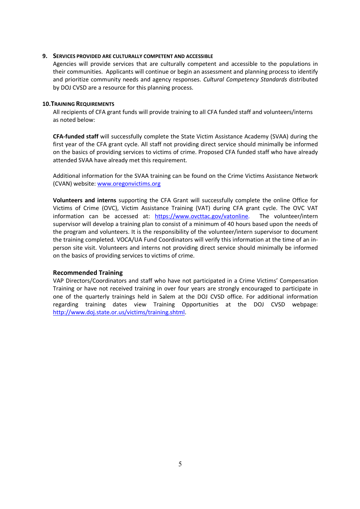#### **9. SERVICES PROVIDED ARE CULTURALLY COMPETENT AND ACCESSIBLE**

Agencies will provide services that are culturally competent and accessible to the populations in their communities. Applicants will continue or begin an assessment and planning process to identify and prioritize community needs and agency responses. *Cultural Competency Standards* distributed by DOJ CVSD are a resource for this planning process.

#### **10.TRAINING REQUIREMENTS**

All recipients of CFA grant funds will provide training to all CFA funded staff and volunteers/interns as noted below:

**CFA-funded staff** will successfully complete the State Victim Assistance Academy (SVAA) during the first year of the CFA grant cycle. All staff not providing direct service should minimally be informed on the basics of providing services to victims of crime. Proposed CFA funded staff who have already attended SVAA have already met this requirement.

Additional information for the SVAA training can be found on the Crime Victims Assistance Network (CVAN) website: www.oregonvictims.org

**Volunteers and interns** supporting the CFA Grant will successfully complete the online Office for Victims of Crime (OVC), Victim Assistance Training (VAT) during CFA grant cycle. The OVC VAT information can be accessed at: https://www.ovcttac.gov/vatonline. The volunteer/intern supervisor will develop a training plan to consist of a minimum of 40 hours based upon the needs of the program and volunteers. It is the responsibility of the volunteer/intern supervisor to document the training completed. VOCA/UA Fund Coordinators will verify this information at the time of an inperson site visit. Volunteers and interns not providing direct service should minimally be informed on the basics of providing services to victims of crime.

#### **Recommended Training**

VAP Directors/Coordinators and staff who have not participated in a Crime Victims' Compensation Training or have not received training in over four years are strongly encouraged to participate in one of the quarterly trainings held in Salem at the DOJ CVSD office. For additional information regarding training dates view Training Opportunities at the DOJ CVSD webpage: http://www.doj.state.or.us/victims/training.shtml.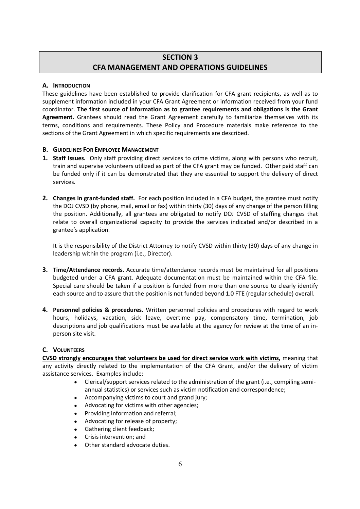# **SECTION 3 CFA MANAGEMENT AND OPERATIONS GUIDELINES**

#### **A. INTRODUCTION**

These guidelines have been established to provide clarification for CFA grant recipients, as well as to supplement information included in your CFA Grant Agreement or information received from your fund coordinator. **The first source of information as to grantee requirements and obligations is the Grant Agreement.** Grantees should read the Grant Agreement carefully to familiarize themselves with its terms, conditions and requirements. These Policy and Procedure materials make reference to the sections of the Grant Agreement in which specific requirements are described.

#### **B. GUIDELINES FOR EMPLOYEE MANAGEMENT**

- **1. Staff Issues.** Only staff providing direct services to crime victims, along with persons who recruit, train and supervise volunteers utilized as part of the CFA grant may be funded. Other paid staff can be funded only if it can be demonstrated that they are essential to support the delivery of direct services.
- **2. Changes in grant-funded staff.** For each position included in a CFA budget, the grantee must notify the DOJ CVSD (by phone, mail, email or fax) within thirty (30) days of any change of the person filling the position. Additionally, all grantees are obligated to notify DOJ CVSD of staffing changes that relate to overall organizational capacity to provide the services indicated and/or described in a grantee's application.

It is the responsibility of the District Attorney to notify CVSD within thirty (30) days of any change in leadership within the program (i.e., Director).

- **3. Time/Attendance records.** Accurate time/attendance records must be maintained for all positions budgeted under a CFA grant. Adequate documentation must be maintained within the CFA file. Special care should be taken if a position is funded from more than one source to clearly identify each source and to assure that the position is not funded beyond 1.0 FTE (regular schedule) overall.
- **4. Personnel policies & procedures.** Written personnel policies and procedures with regard to work hours, holidays, vacation, sick leave, overtime pay, compensatory time, termination, job descriptions and job qualifications must be available at the agency for review at the time of an inperson site visit.

#### **C. VOLUNTEERS**

**CVSD strongly encourages that volunteers be used for direct service work with victims,** meaning that any activity directly related to the implementation of the CFA Grant, and/or the delivery of victim assistance services. Examples include:

- Clerical/support services related to the administration of the grant (i.e., compiling semiannual statistics) or services such as victim notification and correspondence;
- Accompanying victims to court and grand jury;
- Advocating for victims with other agencies;
- Providing information and referral;
- Advocating for release of property;
- **Gathering client feedback:**
- Crisis intervention; and
- Other standard advocate duties.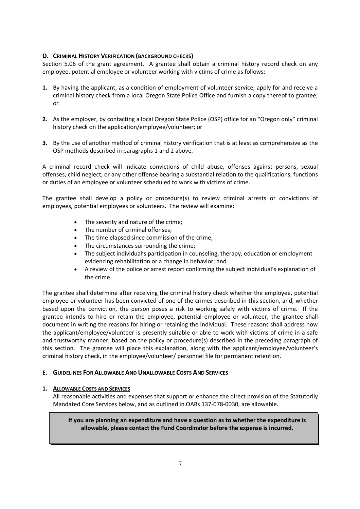#### **D. CRIMINAL HISTORY VERIFICATION (BACKGROUND CHECKS)**

Section 5.06 of the grant agreement. A grantee shall obtain a criminal history record check on any employee, potential employee or volunteer working with victims of crime as follows:

- **1.** By having the applicant, as a condition of employment of volunteer service, apply for and receive a criminal history check from a local Oregon State Police Office and furnish a copy thereof to grantee; or
- **2.** As the employer, by contacting a local Oregon State Police (OSP) office for an "Oregon only" criminal history check on the application/employee/volunteer; or
- **3.** By the use of another method of criminal history verification that is at least as comprehensive as the OSP methods described in paragraphs 1 and 2 above.

A criminal record check will indicate convictions of child abuse, offenses against persons, sexual offenses, child neglect, or any other offense bearing a substantial relation to the qualifications, functions or duties of an employee or volunteer scheduled to work with victims of crime.

The grantee shall develop a policy or procedure(s) to review criminal arrests or convictions of employees, potential employees or volunteers. The review will examine:

- The severity and nature of the crime;
- The number of criminal offenses;
- The time elapsed since commission of the crime;
- The circumstances surrounding the crime;
- The subject individual's participation in counseling, therapy, education or employment evidencing rehabilitation or a change in behavior; and
- A review of the police or arrest report confirming the subject individual's explanation of the crime.

The grantee shall determine after receiving the criminal history check whether the employee, potential employee or volunteer has been convicted of one of the crimes described in this section, and, whether based upon the conviction, the person poses a risk to working safely with victims of crime. If the grantee intends to hire or retain the employee, potential employee or volunteer, the grantee shall document in writing the reasons for hiring or retaining the individual. These reasons shall address how the applicant/employee/volunteer is presently suitable or able to work with victims of crime in a safe and trustworthy manner, based on the policy or procedure(s) described in the preceding paragraph of this section. The grantee will place this explanation, along with the applicant/employee/volunteer's criminal history check, in the employee/volunteer/ personnel file for permanent retention.

#### **E. GUIDELINES FOR ALLOWABLE AND UNALLOWABLE COSTS AND SERVICES**

#### **1. ALLOWABLE COSTS AND SERVICES**

All reasonable activities and expenses that support or enhance the direct provision of the Statutorily Mandated Core Services below, and as outlined in OARs 137-078-0030, are allowable.

**If you are planning an expenditure and have a question as to whether the expenditure is allowable, please contact the Fund Coordinator before the expense is incurred.**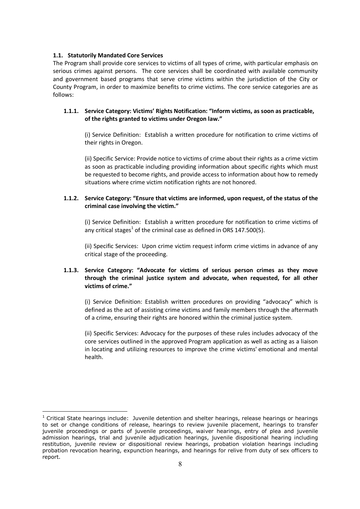#### **1.1. Statutorily Mandated Core Services**

The Program shall provide core services to victims of all types of crime, with particular emphasis on serious crimes against persons. The core services shall be coordinated with available community and government based programs that serve crime victims within the jurisdiction of the City or County Program, in order to maximize benefits to crime victims. The core service categories are as follows:

#### **1.1.1. Service Category: Victims' Rights Notification: "Inform victims, as soon as practicable, of the rights granted to victims under Oregon law."**

(i) Service Definition: Establish a written procedure for notification to crime victims of their rights in Oregon.

(ii) Specific Service: Provide notice to victims of crime about their rights as a crime victim as soon as practicable including providing information about specific rights which must be requested to become rights, and provide access to information about how to remedy situations where crime victim notification rights are not honored.

#### **1.1.2. Service Category: "Ensure that victims are informed, upon request, of the status of the criminal case involving the victim."**

(i) Service Definition: Establish a written procedure for notification to crime victims of any critical stages<sup>1</sup> of the criminal case as defined in ORS 147.500(5).

(ii) Specific Services: Upon crime victim request inform crime victims in advance of any critical stage of the proceeding.

#### **1.1.3. Service Category: "Advocate for victims of serious person crimes as they move through the criminal justice system and advocate, when requested, for all other victims of crime."**

(i) Service Definition: Establish written procedures on providing "advocacy" which is defined as the act of assisting crime victims and family members through the aftermath of a crime, ensuring their rights are honored within the criminal justice system.

(ii) Specific Services: Advocacy for the purposes of these rules includes advocacy of the core services outlined in the approved Program application as well as acting as a liaison in locating and utilizing resources to improve the crime victims' emotional and mental health.

 $1$  Critical State hearings include: Juvenile detention and shelter hearings, release hearings or hearings to set or change conditions of release, hearings to review juvenile placement, hearings to transfer juvenile proceedings or parts of juvenile proceedings, waiver hearings, entry of plea and juvenile admission hearings, trial and juvenile adjudication hearings, juvenile dispositional hearing including restitution, juvenile review or dispositional review hearings, probation violation hearings including probation revocation hearing, expunction hearings, and hearings for relive from duty of sex officers to report.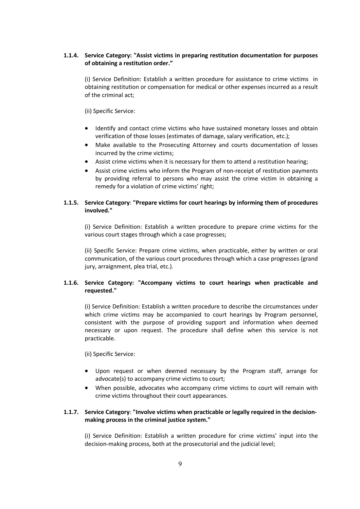#### **1.1.4. Service Category: "Assist victims in preparing restitution documentation for purposes of obtaining a restitution order."**

(i) Service Definition: Establish a written procedure for assistance to crime victims in obtaining restitution or compensation for medical or other expenses incurred as a result of the criminal act;

(ii) Specific Service:

- Identify and contact crime victims who have sustained monetary losses and obtain verification of those losses (estimates of damage, salary verification, etc.);
- Make available to the Prosecuting Attorney and courts documentation of losses incurred by the crime victims;
- Assist crime victims when it is necessary for them to attend a restitution hearing;
- Assist crime victims who inform the Program of non-receipt of restitution payments by providing referral to persons who may assist the crime victim in obtaining a remedy for a violation of crime victims' right;

#### **1.1.5. Service Category**: **"Prepare victims for court hearings by informing them of procedures involved."**

(i) Service Definition: Establish a written procedure to prepare crime victims for the various court stages through which a case progresses;

(ii) Specific Service: Prepare crime victims, when practicable, either by written or oral communication, of the various court procedures through which a case progresses (grand jury, arraignment, plea trial, etc.).

#### **1.1.6. Service Category: "Accompany victims to court hearings when practicable and requested."**

(i) Service Definition: Establish a written procedure to describe the circumstances under which crime victims may be accompanied to court hearings by Program personnel, consistent with the purpose of providing support and information when deemed necessary or upon request. The procedure shall define when this service is not practicable.

(ii) Specific Service:

- Upon request or when deemed necessary by the Program staff, arrange for advocate(s) to accompany crime victims to court;
- When possible, advocates who accompany crime victims to court will remain with crime victims throughout their court appearances.

#### **1.1.7. Service Category**: **"Involve victims when practicable or legally required in the decisionmaking process in the criminal justice system."**

(i) Service Definition: Establish a written procedure for crime victims' input into the decision-making process, both at the prosecutorial and the judicial level;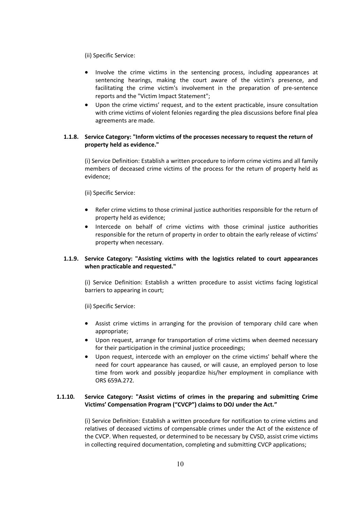(ii) Specific Service:

- Involve the crime victims in the sentencing process, including appearances at sentencing hearings, making the court aware of the victim's presence, and facilitating the crime victim's involvement in the preparation of pre-sentence reports and the "Victim Impact Statement";
- Upon the crime victims' request, and to the extent practicable, insure consultation with crime victims of violent felonies regarding the plea discussions before final plea agreements are made.

#### **1.1.8. Service Category: "Inform victims of the processes necessary to request the return of property held as evidence."**

(i) Service Definition: Establish a written procedure to inform crime victims and all family members of deceased crime victims of the process for the return of property held as evidence;

(ii) Specific Service:

- Refer crime victims to those criminal justice authorities responsible for the return of property held as evidence;
- Intercede on behalf of crime victims with those criminal justice authorities responsible for the return of property in order to obtain the early release of victims' property when necessary.

#### **1.1.9. Service Category: "Assisting victims with the logistics related to court appearances when practicable and requested."**

(i) Service Definition: Establish a written procedure to assist victims facing logistical barriers to appearing in court;

(ii) Specific Service:

- Assist crime victims in arranging for the provision of temporary child care when appropriate;
- Upon request, arrange for transportation of crime victims when deemed necessary for their participation in the criminal justice proceedings:
- Upon request, intercede with an employer on the crime victims' behalf where the need for court appearance has caused, or will cause, an employed person to lose time from work and possibly jeopardize his/her employment in compliance with ORS 659A.272.

#### **1.1.10. Service Category: "Assist victims of crimes in the preparing and submitting Crime Victims' Compensation Program ("CVCP") claims to DOJ under the Act."**

(i) Service Definition: Establish a written procedure for notification to crime victims and relatives of deceased victims of compensable crimes under the Act of the existence of the CVCP. When requested, or determined to be necessary by CVSD, assist crime victims in collecting required documentation, completing and submitting CVCP applications;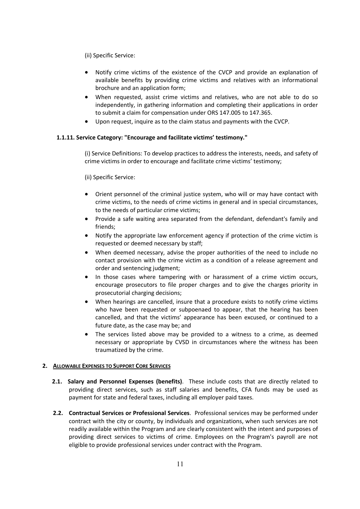(ii) Specific Service:

- Notify crime victims of the existence of the CVCP and provide an explanation of available benefits by providing crime victims and relatives with an informational brochure and an application form;
- When requested, assist crime victims and relatives, who are not able to do so independently, in gathering information and completing their applications in order to submit a claim for compensation under ORS 147.005 to 147.365.
- Upon request, inquire as to the claim status and payments with the CVCP.

#### **1.1.11. Service Category: "Encourage and facilitate victims' testimony."**

(i) Service Definitions: To develop practices to address the interests, needs, and safety of crime victims in order to encourage and facilitate crime victims' testimony;

(ii) Specific Service:

- Orient personnel of the criminal justice system, who will or may have contact with crime victims, to the needs of crime victims in general and in special circumstances, to the needs of particular crime victims;
- Provide a safe waiting area separated from the defendant, defendant's family and friends;
- Notify the appropriate law enforcement agency if protection of the crime victim is requested or deemed necessary by staff;
- When deemed necessary, advise the proper authorities of the need to include no contact provision with the crime victim as a condition of a release agreement and order and sentencing judgment;
- In those cases where tampering with or harassment of a crime victim occurs, encourage prosecutors to file proper charges and to give the charges priority in prosecutorial charging decisions;
- When hearings are cancelled, insure that a procedure exists to notify crime victims who have been requested or subpoenaed to appear, that the hearing has been cancelled, and that the victims' appearance has been excused, or continued to a future date, as the case may be; and
- The services listed above may be provided to a witness to a crime, as deemed necessary or appropriate by CVSD in circumstances where the witness has been traumatized by the crime.

#### **2. ALLOWABLE EXPENSES TO SUPPORT CORE SERVICES**

- **2.1. Salary and Personnel Expenses (benefits)**. These include costs that are directly related to providing direct services, such as staff salaries and benefits, CFA funds may be used as payment for state and federal taxes, including all employer paid taxes.
- **2.2. Contractual Services or Professional Services**. Professional services may be performed under contract with the city or county, by individuals and organizations, when such services are not readily available within the Program and are clearly consistent with the intent and purposes of providing direct services to victims of crime. Employees on the Program's payroll are not eligible to provide professional services under contract with the Program.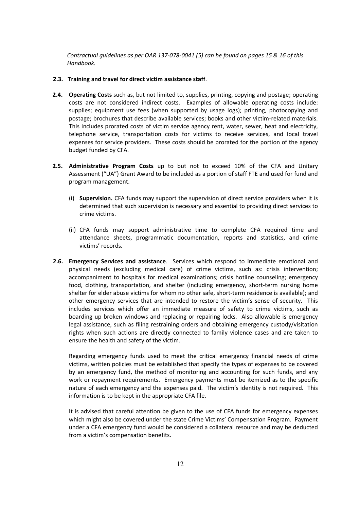*Contractual guidelines as per OAR 137-078-0041 (5) can be found on pages 15 & 16 of this Handbook.*

#### **2.3. Training and travel for direct victim assistance staff**.

- **2.4. Operating Costs** such as, but not limited to, supplies, printing, copying and postage; operating costs are not considered indirect costs. Examples of allowable operating costs include: supplies; equipment use fees (when supported by usage logs); printing, photocopying and postage; brochures that describe available services; books and other victim-related materials. This includes prorated costs of victim service agency rent, water, sewer, heat and electricity, telephone service, transportation costs for victims to receive services, and local travel expenses for service providers. These costs should be prorated for the portion of the agency budget funded by CFA.
- **2.5. Administrative Program Costs** up to but not to exceed 10% of the CFA and Unitary Assessment ("UA") Grant Award to be included as a portion of staff FTE and used for fund and program management.
	- (i) **Supervision.** CFA funds may support the supervision of direct service providers when it is determined that such supervision is necessary and essential to providing direct services to crime victims.
	- (ii) CFA funds may support administrative time to complete CFA required time and attendance sheets, programmatic documentation, reports and statistics, and crime victims' records.
- **2.6. Emergency Services and assistance**. Services which respond to immediate emotional and physical needs (excluding medical care) of crime victims, such as: crisis intervention; accompaniment to hospitals for medical examinations; crisis hotline counseling; emergency food, clothing, transportation, and shelter (including emergency, short-term nursing home shelter for elder abuse victims for whom no other safe, short-term residence is available); and other emergency services that are intended to restore the victim's sense of security. This includes services which offer an immediate measure of safety to crime victims, such as boarding up broken windows and replacing or repairing locks. Also allowable is emergency legal assistance, such as filing restraining orders and obtaining emergency custody/visitation rights when such actions are directly connected to family violence cases and are taken to ensure the health and safety of the victim.

Regarding emergency funds used to meet the critical emergency financial needs of crime victims, written policies must be established that specify the types of expenses to be covered by an emergency fund, the method of monitoring and accounting for such funds, and any work or repayment requirements. Emergency payments must be itemized as to the specific nature of each emergency and the expenses paid. The victim's identity is not required. This information is to be kept in the appropriate CFA file.

It is advised that careful attention be given to the use of CFA funds for emergency expenses which might also be covered under the state Crime Victims' Compensation Program. Payment under a CFA emergency fund would be considered a collateral resource and may be deducted from a victim's compensation benefits.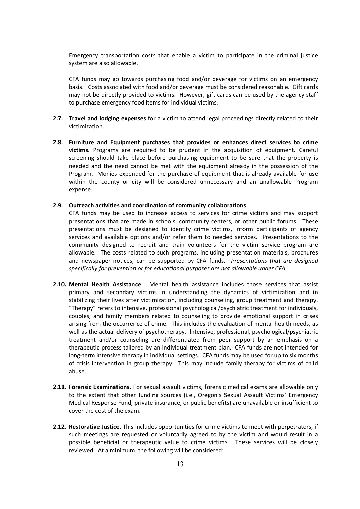Emergency transportation costs that enable a victim to participate in the criminal justice system are also allowable.

CFA funds may go towards purchasing food and/or beverage for victims on an emergency basis. Costs associated with food and/or beverage must be considered reasonable. Gift cards may not be directly provided to victims. However, gift cards can be used by the agency staff to purchase emergency food items for individual victims.

- **2.7. Travel and lodging expenses** for a victim to attend legal proceedings directly related to their victimization.
- **2.8. Furniture and Equipment purchases that provides or enhances direct services to crime victims.** Programs are required to be prudent in the acquisition of equipment. Careful screening should take place before purchasing equipment to be sure that the property is needed and the need cannot be met with the equipment already in the possession of the Program. Monies expended for the purchase of equipment that is already available for use within the county or city will be considered unnecessary and an unallowable Program expense.

#### **2.9. Outreach activities and coordination of community collaborations**.

CFA funds may be used to increase access to services for crime victims and may support presentations that are made in schools, community centers, or other public forums. These presentations must be designed to identify crime victims, inform participants of agency services and available options and/or refer them to needed services. Presentations to the community designed to recruit and train volunteers for the victim service program are allowable. The costs related to such programs, including presentation materials, brochures and newspaper notices, can be supported by CFA funds. *Presentations that are designed specifically for prevention or for educational purposes are not allowable under CFA.*

- **2.10. Mental Health Assistance**. Mental health assistance includes those services that assist primary and secondary victims in understanding the dynamics of victimization and in stabilizing their lives after victimization, including counseling, group treatment and therapy. "Therapy" refers to intensive, professional psychological/psychiatric treatment for individuals, couples, and family members related to counseling to provide emotional support in crises arising from the occurrence of crime. This includes the evaluation of mental health needs, as well as the actual delivery of psychotherapy. Intensive, professional, psychological/psychiatric treatment and/or counseling are differentiated from peer support by an emphasis on a therapeutic process tailored by an individual treatment plan. CFA funds are not intended for long-term intensive therapy in individual settings. CFA funds may be used for up to six months of crisis intervention in group therapy. This may include family therapy for victims of child abuse.
- **2.11. Forensic Examinations.** For sexual assault victims, forensic medical exams are allowable only to the extent that other funding sources (i.e., Oregon's Sexual Assault Victims' Emergency Medical Response Fund, private insurance, or public benefits) are unavailable or insufficient to cover the cost of the exam.
- **2.12. Restorative Justice.** This includes opportunities for crime victims to meet with perpetrators, if such meetings are requested or voluntarily agreed to by the victim and would result in a possible beneficial or therapeutic value to crime victims. These services will be closely reviewed. At a minimum, the following will be considered: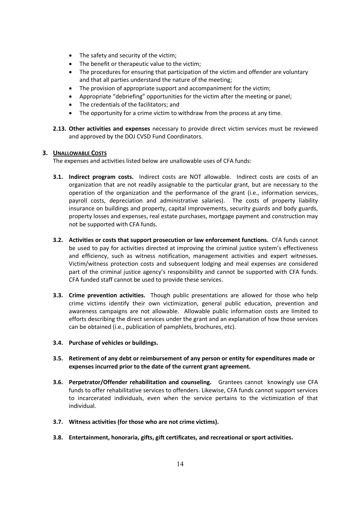- The safety and security of the victim;
- The benefit or therapeutic value to the victim:
- The procedures for ensuring that participation of the victim and offender are voluntary and that all parties understand the nature of the meeting;
- The provision of appropriate support and accompaniment for the victim;
- Appropriate "debriefing" opportunities for the victim after the meeting or panel;
- The credentials of the facilitators; and
- The opportunity for a crime victim to withdraw from the process at any time.
- **2.13. Other activities and expenses** necessary to provide direct victim services must be reviewed and approved by the DOJ CVSD Fund Coordinators.

#### **3. UNALLOWABLE COSTS**

The expenses and activities listed below are unallowable uses of CFA funds:

- **3.1. Indirect program costs.** Indirect costs are NOT allowable. Indirect costs are costs of an organization that are not readily assignable to the particular grant, but are necessary to the operation of the organization and the performance of the grant (i.e., information services, payroll costs, depreciation and administrative salaries). The costs of property liability insurance on buildings and property, capital improvements, security guards and body guards, property losses and expenses, real estate purchases, mortgage payment and construction may not be supported with CFA funds.
- **3.2. Activities or costs that support prosecution or law enforcement functions.** CFA funds cannot be used to pay for activities directed at improving the criminal justice system's effectiveness and efficiency, such as witness notification, management activities and expert witnesses. Victim/witness protection costs and subsequent lodging and meal expenses are considered part of the criminal justice agency's responsibility and cannot be supported with CFA funds. CFA funded staff cannot be used to provide these services.
- **3.3. Crime prevention activities.** Though public presentations are allowed for those who help crime victims identify their own victimization, general public education, prevention and awareness campaigns are not allowable. Allowable public information costs are limited to efforts describing the direct services under the grant and an explanation of how those services can be obtained (i.e., publication of pamphlets, brochures, etc).
- **3.4. Purchase of vehicles or buildings.**
- **3.5. Retirement of any debt or reimbursement of any person or entity for expenditures made or expenses incurred prior to the date of the current grant agreement.**
- **3.6. Perpetrator/Offender rehabilitation and counseling.** Grantees cannot knowingly use CFA funds to offer rehabilitative services to offenders. Likewise, CFA funds cannot support services to incarcerated individuals, even when the service pertains to the victimization of that individual.
- **3.7. Witness activities (for those who are not crime victims).**
- **3.8. Entertainment, honoraria, gifts, gift certificates, and recreational or sport activities.**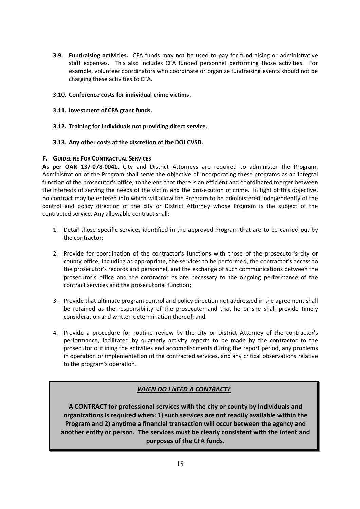- **3.9. Fundraising activities.** CFA funds may not be used to pay for fundraising or administrative staff expenses. This also includes CFA funded personnel performing those activities. For example, volunteer coordinators who coordinate or organize fundraising events should not be charging these activities to CFA.
- **3.10. Conference costs for individual crime victims.**
- **3.11. Investment of CFA grant funds.**
- **3.12. Training for individuals not providing direct service.**
- **3.13. Any other costs at the discretion of the DOJ CVSD.**

#### **F. GUIDELINE FOR CONTRACTUAL SERVICES**

**As per OAR 137-078-0041,** City and District Attorneys are required to administer the Program. Administration of the Program shall serve the objective of incorporating these programs as an integral function of the prosecutor's office, to the end that there is an efficient and coordinated merger between the interests of serving the needs of the victim and the prosecution of crime. In light of this objective, no contract may be entered into which will allow the Program to be administered independently of the control and policy direction of the city or District Attorney whose Program is the subject of the contracted service. Any allowable contract shall:

- 1. Detail those specific services identified in the approved Program that are to be carried out by the contractor;
- 2. Provide for coordination of the contractor's functions with those of the prosecutor's city or county office, including as appropriate, the services to be performed, the contractor's access to the prosecutor's records and personnel, and the exchange of such communications between the prosecutor's office and the contractor as are necessary to the ongoing performance of the contract services and the prosecutorial function;
- 3. Provide that ultimate program control and policy direction not addressed in the agreement shall be retained as the responsibility of the prosecutor and that he or she shall provide timely consideration and written determination thereof; and
- 4. Provide a procedure for routine review by the city or District Attorney of the contractor's performance, facilitated by quarterly activity reports to be made by the contractor to the prosecutor outlining the activities and accomplishments during the report period, any problems in operation or implementation of the contracted services, and any critical observations relative to the program's operation.

# *WHEN DO I NEED A CONTRACT?*

**A CONTRACT for professional services with the city or county by individuals and organizations is required when: 1) such services are not readily available within the Program and 2) anytime a financial transaction will occur between the agency and another entity or person. The services must be clearly consistent with the intent and purposes of the CFA funds.**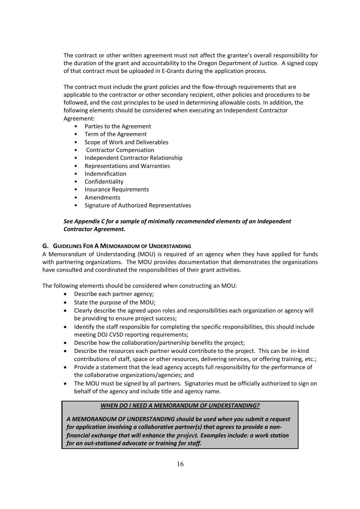The contract or other written agreement must not affect the grantee's overall responsibility for the duration of the grant and accountability to the Oregon Department of Justice. A signed copy of that contract must be uploaded in E-Grants during the application process.

The contract must include the grant policies and the flow-through requirements that are applicable to the contractor or other secondary recipient, other policies and procedures to be followed, and the cost principles to be used in determining allowable costs. In addition, the following elements should be considered when executing an Independent Contractor Agreement:

- Parties to the Agreement
- Term of the Agreement
- Scope of Work and Deliverables
- Contractor Compensation
- Independent Contractor Relationship
- Representations and Warranties
- Indemnification
- **Confidentiality**
- Insurance Requirements
- Amendments
- Signature of Authorized Representatives

#### *See Appendix C for a sample of minimally recommended elements of an Independent Contractor Agreement.*

#### **G. GUIDELINES FOR A MEMORANDUM OF UNDERSTANDING**

A Memorandum of Understanding (MOU) is required of an agency when they have applied for funds with partnering organizations. The MOU provides documentation that demonstrates the organizations have consulted and coordinated the responsibilities of their grant activities.

The following elements should be considered when constructing an MOU:

- Describe each partner agency;
- State the purpose of the MOU;
- Clearly describe the agreed upon roles and responsibilities each organization or agency will be providing to ensure project success;
- Identify the staff responsible for completing the specific responsibilities, this should include meeting DOJ CVSD reporting requirements;
- Describe how the collaboration/partnership benefits the project;
- Describe the resources each partner would contribute to the project. This can be in-kind contributions of staff, space or other resources, delivering services, or offering training, etc.;
- Provide a statement that the lead agency accepts full responsibility for the performance of the collaborative organizations/agencies; and
- The MOU must be signed by all partners. Signatories must be officially authorized to sign on behalf of the agency and include title and agency name.

#### *WHEN DO I NEED A MEMORANDUM OF UNDERSTANDING?*

*A MEMORANDUM OF UNDERSTANDING should be used when you submit a request for application involving a collaborative partner(s) that agrees to provide a nonfinancial exchange that will enhance the project. Examples include: a work station for an out-stationed advocate or training for staff.*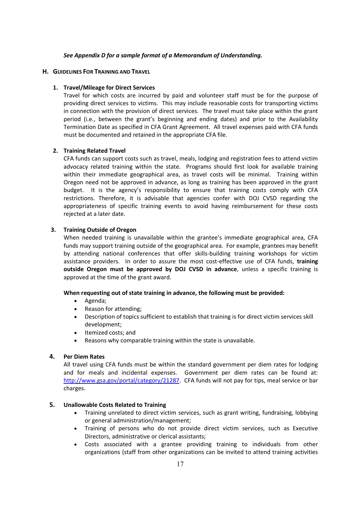#### *See Appendix D for a sample format of a Memorandum of Understanding.*

#### **H. GUIDELINES FOR TRAINING AND TRAVEL**

#### **1. Travel/Mileage for Direct Services**

Travel for which costs are incurred by paid and volunteer staff must be for the purpose of providing direct services to victims. This may include reasonable costs for transporting victims in connection with the provision of direct services. The travel must take place within the grant period (i.e., between the grant's beginning and ending dates) and prior to the Availability Termination Date as specified in CFA Grant Agreement. All travel expenses paid with CFA funds must be documented and retained in the appropriate CFA file.

#### **2. Training Related Travel**

CFA funds can support costs such as travel, meals, lodging and registration fees to attend victim advocacy related training within the state. Programs should first look for available training within their immediate geographical area, as travel costs will be minimal. Training within Oregon need not be approved in advance, as long as training has been approved in the grant budget. It is the agency's responsibility to ensure that training costs comply with CFA restrictions. Therefore, it is advisable that agencies confer with DOJ CVSD regarding the appropriateness of specific training events to avoid having reimbursement for these costs rejected at a later date.

#### **3. Training Outside of Oregon**

When needed training is unavailable within the grantee's immediate geographical area, CFA funds may support training outside of the geographical area. For example, grantees may benefit by attending national conferences that offer skills-building training workshops for victim assistance providers. In order to assure the most cost-effective use of CFA funds, **training outside Oregon must be approved by DOJ CVSD in advance**, unless a specific training is approved at the time of the grant award.

#### **When requesting out of state training in advance, the following must be provided:**

- Agenda;
- Reason for attending:
- Description of topics sufficient to establish that training is for direct victim services skill development;
- Itemized costs; and
- Reasons why comparable training within the state is unavailable.

#### **4. Per Diem Rates**

All travel using CFA funds must be within the standard government per diem rates for lodging and for meals and incidental expenses. Government per diem rates can be found at: http://www.gsa.gov/portal/category/21287. CFA funds will not pay for tips, meal service or bar charges.

#### **5. Unallowable Costs Related to Training**

- Training unrelated to direct victim services, such as grant writing, fundraising, lobbying or general administration/management;
- Training of persons who do not provide direct victim services, such as Executive Directors, administrative or clerical assistants;
- Costs associated with a grantee providing training to individuals from other organizations (staff from other organizations can be invited to attend training activities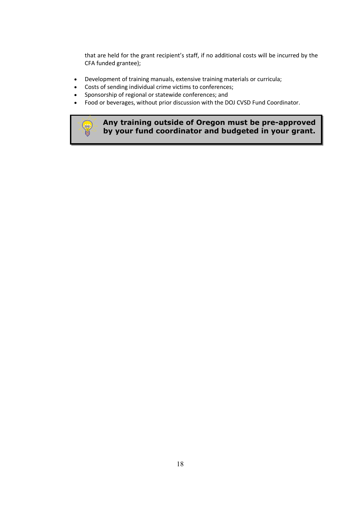that are held for the grant recipient's staff, if no additional costs will be incurred by the CFA funded grantee);

- Development of training manuals, extensive training materials or curricula;
- Costs of sending individual crime victims to conferences;
- Sponsorship of regional or statewide conferences; and

**ROAD** 

Food or beverages, without prior discussion with the DOJ CVSD Fund Coordinator.

# **Any training outside of Oregon must be pre-approved by your fund coordinator and budgeted in your grant.**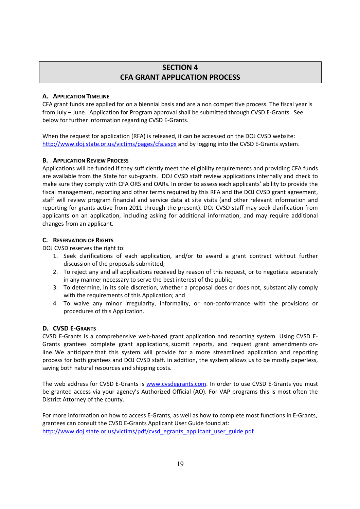# **SECTION 4 CFA GRANT APPLICATION PROCESS**

#### **A. APPLICATION TIMELINE**

CFA grant funds are applied for on a biennial basis and are a non competitive process. The fiscal year is from July – June. Application for Program approval shall be submitted through CVSD E-Grants. See below for further information regarding CVSD E-Grants.

When the request for application (RFA) is released, it can be accessed on the DOJ CVSD website: http://www.doj.state.or.us/victims/pages/cfa.aspx and by logging into the CVSD E-Grants system.

# **B. APPLICATION REVIEW PROCESS**

Applications will be funded if they sufficiently meet the eligibility requirements and providing CFA funds are available from the State for sub-grants. DOJ CVSD staff review applications internally and check to make sure they comply with CFA ORS and OARs. In order to assess each applicants' ability to provide the fiscal management, reporting and other terms required by this RFA and the DOJ CVSD grant agreement, staff will review program financial and service data at site visits (and other relevant information and reporting for grants active from 2011 through the present). DOJ CVSD staff may seek clarification from applicants on an application, including asking for additional information, and may require additional changes from an applicant.

# **C. RESERVATION OF RIGHTS**

DOJ CVSD reserves the right to:

- 1. Seek clarifications of each application, and/or to award a grant contract without further discussion of the proposals submitted;
- 2. To reject any and all applications received by reason of this request, or to negotiate separately in any manner necessary to serve the best interest of the public;
- 3. To determine, in its sole discretion, whether a proposal does or does not, substantially comply with the requirements of this Application; and
- 4. To waive any minor irregularity, informality, or non-conformance with the provisions or procedures of this Application.

#### **D. CVSD E-GRANTS**

CVSD E-Grants is a comprehensive web-based grant application and reporting system. Using CVSD E-Grants grantees complete grant applications, submit reports, and request grant amendments online. We anticipate that this system will provide for a more streamlined application and reporting process for both grantees and DOJ CVSD staff. In addition, the system allows us to be mostly paperless, saving both natural resources and shipping costs.

The web address for CVSD E-Grants is www.cvsdegrants.com. In order to use CVSD E-Grants you must be granted access via your agency's Authorized Official (AO). For VAP programs this is most often the District Attorney of the county.

For more information on how to access E-Grants, as well as how to complete most functions in E-Grants, grantees can consult the CVSD E-Grants Applicant User Guide found at: http://www.doj.state.or.us/victims/pdf/cvsd\_egrants\_applicant\_user\_guide.pdf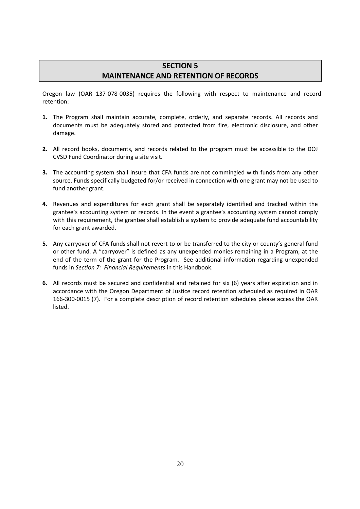# **SECTION 5 MAINTENANCE AND RETENTION OF RECORDS**

Oregon law (OAR 137-078-0035) requires the following with respect to maintenance and record retention:

- **1.** The Program shall maintain accurate, complete, orderly, and separate records. All records and documents must be adequately stored and protected from fire, electronic disclosure, and other damage.
- **2.** All record books, documents, and records related to the program must be accessible to the DOJ CVSD Fund Coordinator during a site visit.
- **3.** The accounting system shall insure that CFA funds are not commingled with funds from any other source. Funds specifically budgeted for/or received in connection with one grant may not be used to fund another grant.
- **4.** Revenues and expenditures for each grant shall be separately identified and tracked within the grantee's accounting system or records. In the event a grantee's accounting system cannot comply with this requirement, the grantee shall establish a system to provide adequate fund accountability for each grant awarded.
- **5.** Any carryover of CFA funds shall not revert to or be transferred to the city or county's general fund or other fund. A "carryover" is defined as any unexpended monies remaining in a Program, at the end of the term of the grant for the Program. See additional information regarding unexpended funds in *Section 7: Financial Requirements* in this Handbook.
- **6.** All records must be secured and confidential and retained for six (6) years after expiration and in accordance with the Oregon Department of Justice record retention scheduled as required in OAR 166-300-0015 (7). For a complete description of record retention schedules please access the OAR listed.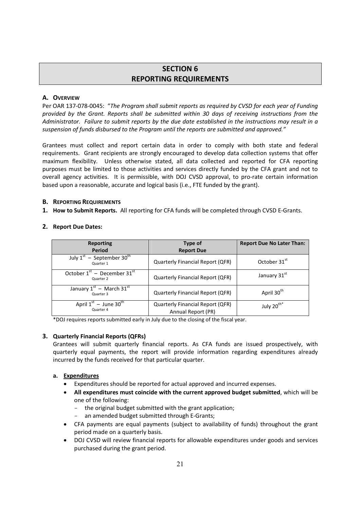# **SECTION 6 REPORTING REQUIREMENTS**

#### **A. OVERVIEW**

Per OAR 137-078-0045: "*The Program shall submit reports as required by CVSD for each year of Funding provided by the Grant. Reports shall be submitted within 30 days of receiving instructions from the Administrator. Failure to submit reports by the due date established in the instructions may result in a suspension of funds disbursed to the Program until the reports are submitted and approved."*

Grantees must collect and report certain data in order to comply with both state and federal requirements. Grant recipients are strongly encouraged to develop data collection systems that offer maximum flexibility. Unless otherwise stated, all data collected and reported for CFA reporting purposes must be limited to those activities and services directly funded by the CFA grant and not to overall agency activities. It is permissible, with DOJ CVSD approval, to pro-rate certain information based upon a reasonable, accurate and logical basis (i.e., FTE funded by the grant).

#### **B. REPORTING REQUIREMENTS**

**1. How to Submit Reports.** All reporting for CFA funds will be completed through CVSD E-Grants.

#### **2. Report Due Dates:**

| <b>Reporting</b><br>Period                              | Type of<br><b>Report Due</b>                           | <b>Report Due No Later Than:</b> |
|---------------------------------------------------------|--------------------------------------------------------|----------------------------------|
| July $1^{st}$ – September 30 <sup>th</sup><br>Quarter 1 | Quarterly Financial Report (QFR)                       | October 31 <sup>st</sup>         |
| October $1st$ – December 31 <sup>st</sup><br>Quarter 2  | <b>Quarterly Financial Report (QFR)</b>                | January 31st                     |
| January $1st$ – March 31 <sup>st</sup><br>Quarter 3     | <b>Quarterly Financial Report (QFR)</b>                | April 30 <sup>th</sup>           |
| April $1^{st}$ – June 30 <sup>th</sup><br>Quarter 4     | Quarterly Financial Report (QFR)<br>Annual Report (PR) | July 20 <sup>th*</sup>           |

\*DOJ requires reports submitted early in July due to the closing of the fiscal year.

#### **3. Quarterly Financial Reports (QFRs)**

Grantees will submit quarterly financial reports. As CFA funds are issued prospectively, with quarterly equal payments, the report will provide information regarding expenditures already incurred by the funds received for that particular quarter.

#### **a. Expenditures**

- Expenditures should be reported for actual approved and incurred expenses.
- **All expenditures must coincide with the current approved budget submitted**, which will be one of the following:
	- the original budget submitted with the grant application;
	- an amended budget submitted through E-Grants;
- CFA payments are equal payments (subject to availability of funds) throughout the grant period made on a quarterly basis.
- DOJ CVSD will review financial reports for allowable expenditures under goods and services purchased during the grant period.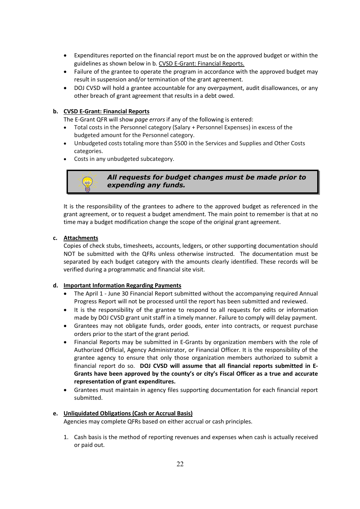- Expenditures reported on the financial report must be on the approved budget or within the guidelines as shown below in b. CVSD E-Grant: Financial Reports.
- Failure of the grantee to operate the program in accordance with the approved budget may result in suspension and/or termination of the grant agreement.
- DOJ CVSD will hold a grantee accountable for any overpayment, audit disallowances, or any other breach of grant agreement that results in a debt owed.

#### **b. CVSD E-Grant: Financial Reports**

The E-Grant QFR will show *page errors* if any of the following is entered:

- Total costs in the Personnel category (Salary + Personnel Expenses) in excess of the budgeted amount for the Personnel category.
- Unbudgeted costs totaling more than \$500 in the Services and Supplies and Other Costs categories.
- Costs in any unbudgeted subcategory.



#### *All requests for budget changes must be made prior to expending any funds.*

It is the responsibility of the grantees to adhere to the approved budget as referenced in the grant agreement, or to request a budget amendment. The main point to remember is that at no time may a budget modification change the scope of the original grant agreement.

#### **c. Attachments**

Copies of check stubs, timesheets, accounts, ledgers, or other supporting documentation should NOT be submitted with the QFRs unless otherwise instructed. The documentation must be separated by each budget category with the amounts clearly identified. These records will be verified during a programmatic and financial site visit.

#### **d. Important Information Regarding Payments**

- The April 1 June 30 Financial Report submitted without the accompanying required Annual Progress Report will not be processed until the report has been submitted and reviewed.
- It is the responsibility of the grantee to respond to all requests for edits or information made by DOJ CVSD grant unit staff in a timely manner. Failure to comply will delay payment.
- Grantees may not obligate funds, order goods, enter into contracts, or request purchase orders prior to the start of the grant period.
- Financial Reports may be submitted in E-Grants by organization members with the role of Authorized Official, Agency Administrator, or Financial Officer. It is the responsibility of the grantee agency to ensure that only those organization members authorized to submit a financial report do so. **DOJ CVSD will assume that all financial reports submitted in E-Grants have been approved by the county's or city's Fiscal Officer as a true and accurate representation of grant expenditures.**
- Grantees must maintain in agency files supporting documentation for each financial report submitted.

#### **e. Unliquidated Obligations (Cash or Accrual Basis)**

Agencies may complete QFRs based on either accrual or cash principles.

1. Cash basis is the method of reporting revenues and expenses when cash is actually received or paid out.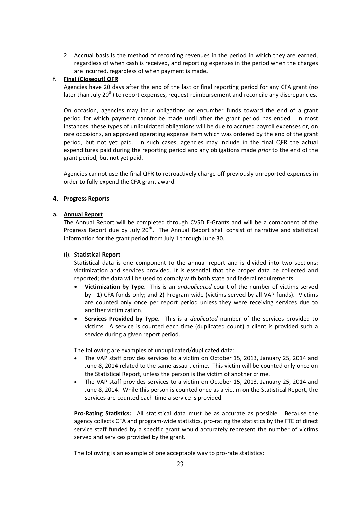2. Accrual basis is the method of recording revenues in the period in which they are earned, regardless of when cash is received, and reporting expenses in the period when the charges are incurred, regardless of when payment is made.

#### **f. Final (Closeout) QFR**

Agencies have 20 days after the end of the last or final reporting period for any CFA grant (no later than July  $20<sup>th</sup>$ ) to report expenses, request reimbursement and reconcile any discrepancies.

On occasion, agencies may incur obligations or encumber funds toward the end of a grant period for which payment cannot be made until after the grant period has ended. In most instances, these types of unliquidated obligations will be due to accrued payroll expenses or, on rare occasions, an approved operating expense item which was ordered by the end of the grant period, but not yet paid. In such cases, agencies may include in the final QFR the actual expenditures paid during the reporting period and any obligations made *prior* to the end of the grant period, but not yet paid.

Agencies cannot use the final QFR to retroactively charge off previously unreported expenses in order to fully expend the CFA grant award.

#### **4. Progress Reports**

#### **a. Annual Report**

The Annual Report will be completed through CVSD E-Grants and will be a component of the Progress Report due by July  $20<sup>th</sup>$ . The Annual Report shall consist of narrative and statistical information for the grant period from July 1 through June 30.

#### (i). **Statistical Report**

Statistical data is one component to the annual report and is divided into two sections: victimization and services provided. It is essential that the proper data be collected and reported; the data will be used to comply with both state and federal requirements.

- **Victimization by Type**. This is an *unduplicated* count of the number of victims served by: 1) CFA funds only; and 2) Program-wide (victims served by all VAP funds). Victims are counted only once per report period unless they were receiving services due to another victimization.
- **Services Provided by Type**. This is a *duplicated* number of the services provided to victims. A service is counted each time (duplicated count) a client is provided such a service during a given report period.

The following are examples of unduplicated/duplicated data:

- The VAP staff provides services to a victim on October 15, 2013, January 25, 2014 and June 8, 2014 related to the same assault crime. This victim will be counted only once on the Statistical Report, unless the person is the victim of another crime.
- The VAP staff provides services to a victim on October 15, 2013, January 25, 2014 and June 8, 2014. While this person is counted once as a victim on the Statistical Report, the services are counted each time a service is provided.

**Pro-Rating Statistics:** All statistical data must be as accurate as possible. Because the agency collects CFA and program-wide statistics, pro-rating the statistics by the FTE of direct service staff funded by a specific grant would accurately represent the number of victims served and services provided by the grant.

The following is an example of one acceptable way to pro-rate statistics: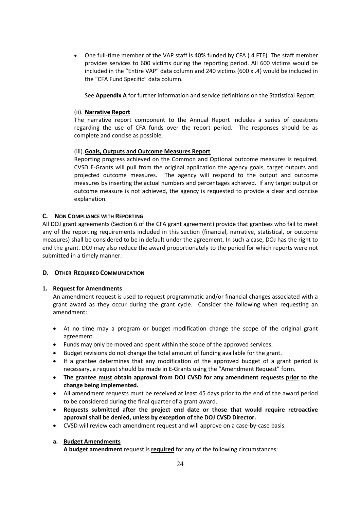One full-time member of the VAP staff is 40% funded by CFA (.4 FTE). The staff member provides services to 600 victims during the reporting period. All 600 victims would be included in the "Entire VAP" data column and 240 victims (600 x .4) would be included in the "CFA Fund Specific" data column.

See **Appendix A** for further information and service definitions on the Statistical Report.

#### (ii). **Narrative Report**

The narrative report component to the Annual Report includes a series of questions regarding the use of CFA funds over the report period. The responses should be as complete and concise as possible.

#### (iii).**Goals, Outputs and Outcome Measures Report**

Reporting progress achieved on the Common and Optional outcome measures is required. CVSD E-Grants will pull from the original application the agency goals, target outputs and projected outcome measures. The agency will respond to the output and outcome measures by inserting the actual numbers and percentages achieved. If any target output or outcome measure is not achieved, the agency is requested to provide a clear and concise explanation.

#### **C. NON COMPLIANCE WITH REPORTING**

All DOJ grant agreements (Section 6 of the CFA grant agreement) provide that grantees who fail to meet any of the reporting requirements included in this section (financial, narrative, statistical, or outcome measures) shall be considered to be in default under the agreement. In such a case, DOJ has the right to end the grant. DOJ may also reduce the award proportionately to the period for which reports were not submitted in a timely manner.

#### **D. OTHER REQUIRED COMMUNICATION**

#### **1. Request for Amendments**

An amendment request is used to request programmatic and/or financial changes associated with a grant award as they occur during the grant cycle. Consider the following when requesting an amendment:

- At no time may a program or budget modification change the scope of the original grant agreement.
- Funds may only be moved and spent within the scope of the approved services.
- Budget revisions do not change the total amount of funding available for the grant.
- If a grantee determines that any modification of the approved budget of a grant period is necessary, a request should be made in E-Grants using the "Amendment Request" form.
- **The grantee must obtain approval from DOJ CVSD for any amendment requests prior to the change being implemented.**
- All amendment requests must be received at least 45 days prior to the end of the award period to be considered during the final quarter of a grant award.
- **Requests submitted after the project end date or those that would require retroactive approval shall be denied, unless by exception of the DOJ CVSD Director.**
- CVSD will review each amendment request and will approve on a case-by-case basis.

#### **a. Budget Amendments**

**A budget amendment** request is **required** for any of the following circumstances: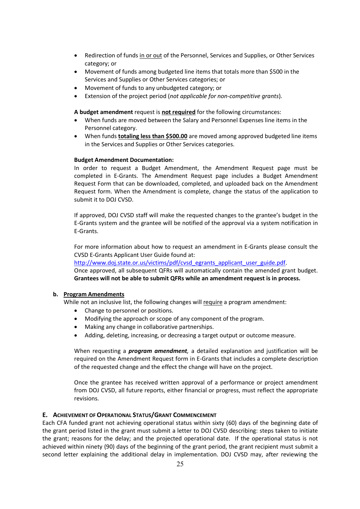- Redirection of funds in or out of the Personnel, Services and Supplies, or Other Services category; or
- Movement of funds among budgeted line items that totals more than \$500 in the Services and Supplies or Other Services categories; or
- Movement of funds to any unbudgeted category; or
- Extension of the project period (*not applicable for non-competitive grants*).

**A budget amendment** request is **not required** for the following circumstances:

- When funds are moved between the Salary and Personnel Expenses line items in the Personnel category.
- When funds **totaling less than \$500.00** are moved among approved budgeted line items in the Services and Supplies or Other Services categories.

#### **Budget Amendment Documentation:**

In order to request a Budget Amendment, the Amendment Request page must be completed in E-Grants. The Amendment Request page includes a Budget Amendment Request Form that can be downloaded, completed, and uploaded back on the Amendment Request form. When the Amendment is complete, change the status of the application to submit it to DOJ CVSD.

If approved, DOJ CVSD staff will make the requested changes to the grantee's budget in the E-Grants system and the grantee will be notified of the approval via a system notification in E-Grants.

For more information about how to request an amendment in E-Grants please consult the CVSD E-Grants Applicant User Guide found at:

http://www.doj.state.or.us/victims/pdf/cvsd\_egrants\_applicant\_user\_guide.pdf.

Once approved, all subsequent QFRs will automatically contain the amended grant budget. **Grantees will not be able to submit QFRs while an amendment request is in process.**

#### **b. Program Amendments**

While not an inclusive list, the following changes will require a program amendment:

- Change to personnel or positions.
- Modifying the approach or scope of any component of the program.
- Making any change in collaborative partnerships.
- Adding, deleting, increasing, or decreasing a target output or outcome measure.

When requesting a *program amendment,* a detailed explanation and justification will be required on the Amendment Request form in E-Grants that includes a complete description of the requested change and the effect the change will have on the project.

Once the grantee has received written approval of a performance or project amendment from DOJ CVSD, all future reports, either financial or progress, must reflect the appropriate revisions.

#### **E. ACHIEVEMENT OFOPERATIONAL STATUS/GRANT COMMENCEMENT**

Each CFA funded grant not achieving operational status within sixty (60) days of the beginning date of the grant period listed in the grant must submit a letter to DOJ CVSD describing: steps taken to initiate the grant; reasons for the delay; and the projected operational date. If the operational status is not achieved within ninety (90) days of the beginning of the grant period, the grant recipient must submit a second letter explaining the additional delay in implementation. DOJ CVSD may, after reviewing the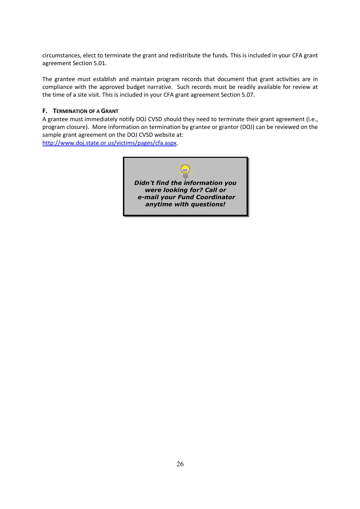circumstances, elect to terminate the grant and redistribute the funds. This is included in your CFA grant agreement Section 5.01.

The grantee must establish and maintain program records that document that grant activities are in compliance with the approved budget narrative. Such records must be readily available for review at the time of a site visit. This is included in your CFA grant agreement Section 5.07.

#### **F. TERMINATION OF A GRANT**

A grantee must immediately notify DOJ CVSD should they need to terminate their grant agreement (i.e., program closure). More information on termination by grantee or grantor (DOJ) can be reviewed on the sample grant agreement on the DOJ CVSD website at:

http://www.doj.state.or.us/victims/pages/cfa.aspx.

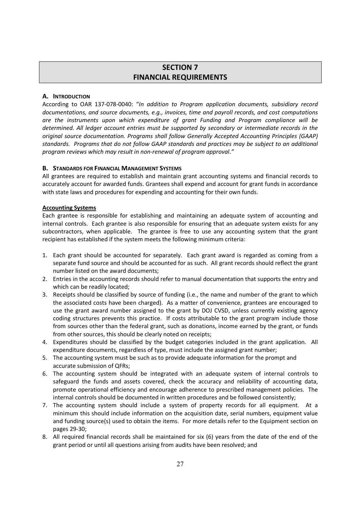# **SECTION 7 FINANCIAL REQUIREMENTS**

#### **A. INTRODUCTION**

According to OAR 137-078-0040: "*In addition to Program application documents, subsidiary record documentations, and source documents, e.g., invoices, time and payroll records, and cost computations are the instruments upon which expenditure of grant Funding and Program compliance will be determined. All ledger account entries must be supported by secondary or intermediate records in the original source documentation. Programs shall follow Generally Accepted Accounting Principles (GAAP) standards. Programs that do not follow GAAP standards and practices may be subject to an additional program reviews which may result in non-renewal of program approval*.*"*

#### **B. STANDARDS FOR FINANCIAL MANAGEMENT SYSTEMS**

All grantees are required to establish and maintain grant accounting systems and financial records to accurately account for awarded funds. Grantees shall expend and account for grant funds in accordance with state laws and procedures for expending and accounting for their own funds.

#### **Accounting Systems**

Each grantee is responsible for establishing and maintaining an adequate system of accounting and internal controls. Each grantee is also responsible for ensuring that an adequate system exists for any subcontractors, when applicable. The grantee is free to use any accounting system that the grant recipient has established if the system meets the following minimum criteria:

- 1. Each grant should be accounted for separately. Each grant award is regarded as coming from a separate fund source and should be accounted for as such. All grant records should reflect the grant number listed on the award documents;
- 2. Entries in the accounting records should refer to manual documentation that supports the entry and which can be readily located;
- 3. Receipts should be classified by source of funding (i.e., the name and number of the grant to which the associated costs have been charged). As a matter of convenience, grantees are encouraged to use the grant award number assigned to the grant by DOJ CVSD, unless currently existing agency coding structures prevents this practice. If costs attributable to the grant program include those from sources other than the federal grant, such as donations, income earned by the grant, or funds from other sources, this should be clearly noted on receipts;
- 4. Expenditures should be classified by the budget categories included in the grant application. All expenditure documents, regardless of type, must include the assigned grant number;
- 5. The accounting system must be such as to provide adequate information for the prompt and accurate submission of QFRs;
- 6. The accounting system should be integrated with an adequate system of internal controls to safeguard the funds and assets covered, check the accuracy and reliability of accounting data, promote operational efficiency and encourage adherence to prescribed management policies. The internal controls should be documented in written procedures and be followed consistently;
- 7. The accounting system should include a system of property records for all equipment. At a minimum this should include information on the acquisition date, serial numbers, equipment value and funding source(s) used to obtain the items. For more details refer to the Equipment section on pages 29-30;
- 8. All required financial records shall be maintained for six (6) years from the date of the end of the grant period or until all questions arising from audits have been resolved; and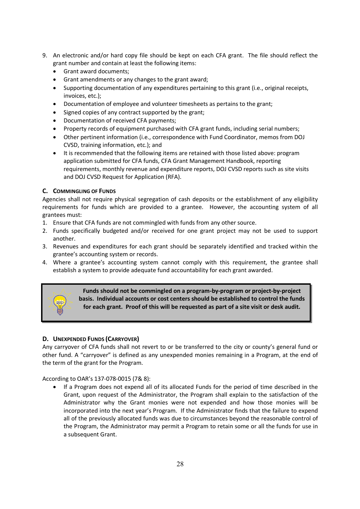- 9. An electronic and/or hard copy file should be kept on each CFA grant. The file should reflect the grant number and contain at least the following items:
	- Grant award documents;
	- Grant amendments or any changes to the grant award;
	- Supporting documentation of any expenditures pertaining to this grant (i.e., original receipts, invoices, etc.);
	- Documentation of employee and volunteer timesheets as pertains to the grant;
	- Signed copies of any contract supported by the grant;
	- Documentation of received CFA payments;
	- Property records of equipment purchased with CFA grant funds, including serial numbers;
	- Other pertinent information (i.e., correspondence with Fund Coordinator, memos from DOJ CVSD, training information, etc.); and
	- It is recommended that the following items are retained with those listed above: program application submitted for CFA funds, CFA Grant Management Handbook, reporting requirements, monthly revenue and expenditure reports, DOJ CVSD reports such as site visits and DOJ CVSD Request for Application (RFA).

# **C. COMMINGLING OF FUNDS**

Agencies shall not require physical segregation of cash deposits or the establishment of any eligibility requirements for funds which are provided to a grantee. However, the accounting system of all grantees must:

- 1. Ensure that CFA funds are not commingled with funds from any other source.
- 2. Funds specifically budgeted and/or received for one grant project may not be used to support another.
- 3. Revenues and expenditures for each grant should be separately identified and tracked within the grantee's accounting system or records.
- 4. Where a grantee's accounting system cannot comply with this requirement, the grantee shall establish a system to provide adequate fund accountability for each grant awarded.



**Funds should not be commingled on a program-by-program or project-by-project basis. Individual accounts or cost centers should be established to control the funds for each grant. Proof of this will be requested as part of a site visit or desk audit.**

#### **D. UNEXPENDED FUNDS (CARRYOVER)**

Any carryover of CFA funds shall not revert to or be transferred to the city or county's general fund or other fund. A "carryover" is defined as any unexpended monies remaining in a Program, at the end of the term of the grant for the Program.

According to OAR's 137-078-0015 (7& 8):

 If a Program does not expend all of its allocated Funds for the period of time described in the Grant, upon request of the Administrator, the Program shall explain to the satisfaction of the Administrator why the Grant monies were not expended and how those monies will be incorporated into the next year's Program. If the Administrator finds that the failure to expend all of the previously allocated funds was due to circumstances beyond the reasonable control of the Program, the Administrator may permit a Program to retain some or all the funds for use in a subsequent Grant.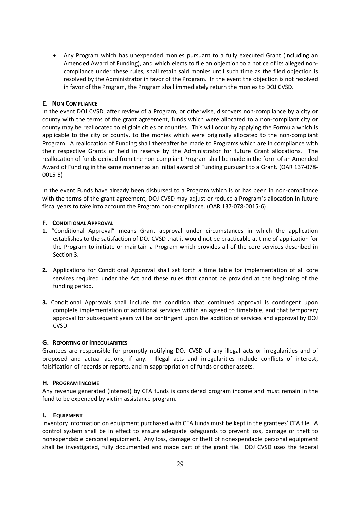Any Program which has unexpended monies pursuant to a fully executed Grant (including an Amended Award of Funding), and which elects to file an objection to a notice of its alleged noncompliance under these rules, shall retain said monies until such time as the filed objection is resolved by the Administrator in favor of the Program. In the event the objection is not resolved in favor of the Program, the Program shall immediately return the monies to DOJ CVSD.

#### **E. NON COMPLIANCE**

In the event DOJ CVSD, after review of a Program, or otherwise, discovers non-compliance by a city or county with the terms of the grant agreement, funds which were allocated to a non-compliant city or county may be reallocated to eligible cities or counties. This will occur by applying the Formula which is applicable to the city or county, to the monies which were originally allocated to the non-compliant Program. A reallocation of Funding shall thereafter be made to Programs which are in compliance with their respective Grants or held in reserve by the Administrator for future Grant allocations. The reallocation of funds derived from the non-compliant Program shall be made in the form of an Amended Award of Funding in the same manner as an initial award of Funding pursuant to a Grant. (OAR 137-078- 0015-5)

In the event Funds have already been disbursed to a Program which is or has been in non-compliance with the terms of the grant agreement, DOJ CVSD may adjust or reduce a Program's allocation in future fiscal years to take into account the Program non-compliance. (OAR 137-078-0015-6)

#### **F. CONDITIONAL APPROVAL**

- **1.** "Conditional Approval" means Grant approval under circumstances in which the application establishes to the satisfaction of DOJ CVSD that it would not be practicable at time of application for the Program to initiate or maintain a Program which provides all of the core services described in Section 3.
- **2.** Applications for Conditional Approval shall set forth a time table for implementation of all core services required under the Act and these rules that cannot be provided at the beginning of the funding period.
- **3.** Conditional Approvals shall include the condition that continued approval is contingent upon complete implementation of additional services within an agreed to timetable, and that temporary approval for subsequent years will be contingent upon the addition of services and approval by DOJ CVSD.

#### **G. REPORTING OF IRREGULARITIES**

Grantees are responsible for promptly notifying DOJ CVSD of any illegal acts or irregularities and of proposed and actual actions, if any. Illegal acts and irregularities include conflicts of interest, falsification of records or reports, and misappropriation of funds or other assets.

#### **H. PROGRAM INCOME**

Any revenue generated (interest) by CFA funds is considered program income and must remain in the fund to be expended by victim assistance program.

#### **I. EQUIPMENT**

Inventory information on equipment purchased with CFA funds must be kept in the grantees' CFA file. A control system shall be in effect to ensure adequate safeguards to prevent loss, damage or theft to nonexpendable personal equipment. Any loss, damage or theft of nonexpendable personal equipment shall be investigated, fully documented and made part of the grant file. DOJ CVSD uses the federal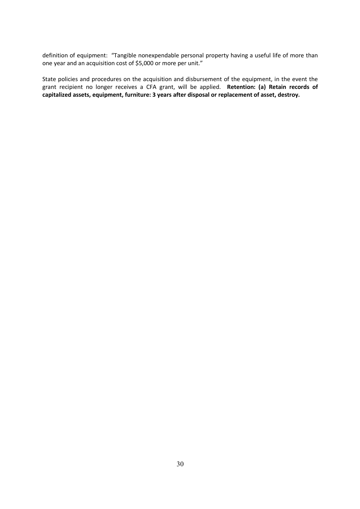definition of equipment: "Tangible nonexpendable personal property having a useful life of more than one year and an acquisition cost of \$5,000 or more per unit."

State policies and procedures on the acquisition and disbursement of the equipment, in the event the grant recipient no longer receives a CFA grant, will be applied. **Retention: (a) Retain records of capitalized assets, equipment, furniture: 3 years after disposal or replacement of asset, destroy.**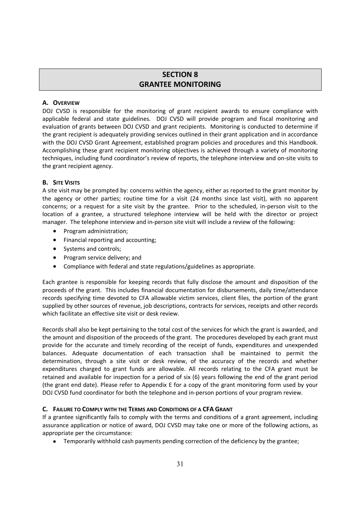# **SECTION 8 GRANTEE MONITORING**

#### **A. OVERVIEW**

DOJ CVSD is responsible for the monitoring of grant recipient awards to ensure compliance with applicable federal and state guidelines. DOJ CVSD will provide program and fiscal monitoring and evaluation of grants between DOJ CVSD and grant recipients. Monitoring is conducted to determine if the grant recipient is adequately providing services outlined in their grant application and in accordance with the DOJ CVSD Grant Agreement, established program policies and procedures and this Handbook. Accomplishing these grant recipient monitoring objectives is achieved through a variety of monitoring techniques, including fund coordinator's review of reports, the telephone interview and on-site visits to the grant recipient agency.

#### **B. SITE VISITS**

A site visit may be prompted by: concerns within the agency, either as reported to the grant monitor by the agency or other parties; routine time for a visit (24 months since last visit), with no apparent concerns; or a request for a site visit by the grantee. Prior to the scheduled, in-person visit to the location of a grantee, a structured telephone interview will be held with the director or project manager. The telephone interview and in-person site visit will include a review of the following:

- Program administration;
- Financial reporting and accounting;
- Systems and controls:
- Program service delivery; and
- Compliance with federal and state regulations/guidelines as appropriate.

Each grantee is responsible for keeping records that fully disclose the amount and disposition of the proceeds of the grant. This includes financial documentation for disbursements, daily time/attendance records specifying time devoted to CFA allowable victim services, client files, the portion of the grant supplied by other sources of revenue, job descriptions, contracts for services, receipts and other records which facilitate an effective site visit or desk review.

Records shall also be kept pertaining to the total cost of the services for which the grant is awarded, and the amount and disposition of the proceeds of the grant. The procedures developed by each grant must provide for the accurate and timely recording of the receipt of funds, expenditures and unexpended balances. Adequate documentation of each transaction shall be maintained to permit the determination, through a site visit or desk review, of the accuracy of the records and whether expenditures charged to grant funds are allowable. All records relating to the CFA grant must be retained and available for inspection for a period of six (6) years following the end of the grant period (the grant end date). Please refer to Appendix E for a copy of the grant monitoring form used by your DOJ CVSD fund coordinator for both the telephone and in-person portions of your program review.

#### **C. FAILURE TO COMPLY WITH THE TERMS AND CONDITIONS OF A CFA GRANT**

If a grantee significantly fails to comply with the terms and conditions of a grant agreement, including assurance application or notice of award, DOJ CVSD may take one or more of the following actions, as appropriate per the circumstance:

Temporarily withhold cash payments pending correction of the deficiency by the grantee;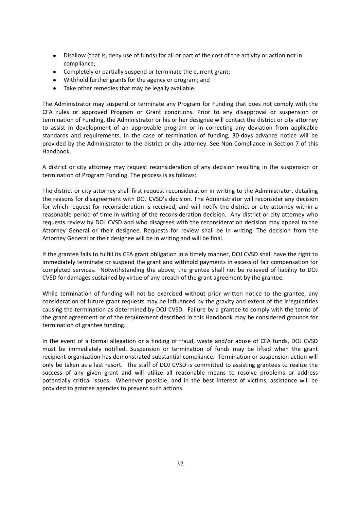- Disallow (that is, deny use of funds) for all or part of the cost of the activity or action not in compliance;
- Completely or partially suspend or terminate the current grant;
- Withhold further grants for the agency or program; and
- Take other remedies that may be legally available.

The Administrator may suspend or terminate any Program for Funding that does not comply with the CFA rules or approved Program or Grant conditions. Prior to any disapproval or suspension or termination of Funding, the Administrator or his or her designee will contact the district or city attorney to assist in development of an approvable program or in correcting any deviation from applicable standards and requirements. In the case of termination of funding, 30-days advance notice will be provided by the Administrator to the district or city attorney. See Non Compliance in Section 7 of this Handbook.

A district or city attorney may request reconsideration of any decision resulting in the suspension or termination of Program Funding. The process is as follows:

The district or city attorney shall first request reconsideration in writing to the Administrator, detailing the reasons for disagreement with DOJ CVSD's decision. The Administrator will reconsider any decision for which request for reconsideration is received, and will notify the district or city attorney within a reasonable period of time in writing of the reconsideration decision. Any district or city attorney who requests review by DOJ CVSD and who disagrees with the reconsideration decision may appeal to the Attorney General or their designee. Requests for review shall be in writing. The decision from the Attorney General or their designee will be in writing and will be final.

If the grantee fails to fulfill its CFA grant obligation in a timely manner, DOJ CVSD shall have the right to immediately terminate or suspend the grant and withhold payments in excess of fair compensation for completed services. Notwithstanding the above, the grantee shall not be relieved of liability to DOJ CVSD for damages sustained by virtue of any breach of the grant agreement by the grantee.

While termination of funding will not be exercised without prior written notice to the grantee, any consideration of future grant requests may be influenced by the gravity and extent of the irregularities causing the termination as determined by DOJ CVSD. Failure by a grantee to comply with the terms of the grant agreement or of the requirement described in this Handbook may be considered grounds for termination of grantee funding.

In the event of a formal allegation or a finding of fraud, waste and/or abuse of CFA funds, DOJ CVSD must be immediately notified. Suspension or termination of funds may be lifted when the grant recipient organization has demonstrated substantial compliance. Termination or suspension action will only be taken as a last resort. The staff of DOJ CVSD is committed to assisting grantees to realize the success of any given grant and will utilize all reasonable means to resolve problems or address potentially critical issues. Whenever possible, and in the best interest of victims, assistance will be provided to grantee agencies to prevent such actions.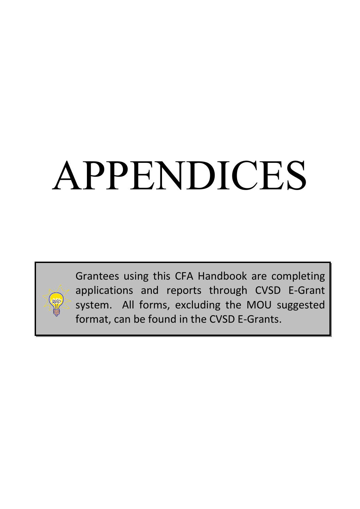# APPENDICES



Grantees using this CFA Handbook are completing applications and reports through CVSD E-Grant system. All forms, excluding the MOU suggested format, can be found in the CVSD E-Grants.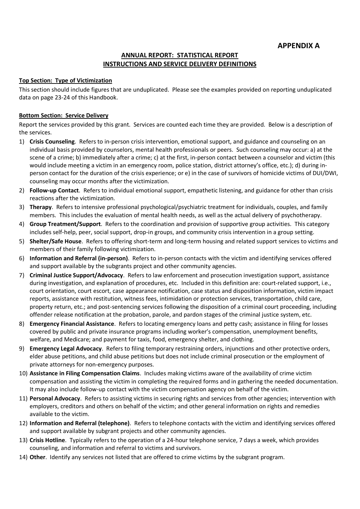#### **ANNUAL REPORT: STATISTICAL REPORT INSTRUCTIONS AND SERVICE DELIVERY DEFINITIONS**

#### **Top Section: Type of Victimization**

This section should include figures that are unduplicated. Please see the examples provided on reporting unduplicated data on page 23-24 of this Handbook.

#### **Bottom Section: Service Delivery**

Report the services provided by this grant. Services are counted each time they are provided. Below is a description of the services.

- 1) **Crisis Counseling**. Refers to in-person crisis intervention, emotional support, and guidance and counseling on an individual basis provided by counselors, mental health professionals or peers. Such counseling may occur: a) at the scene of a crime; b) immediately after a crime; c) at the first, in-person contact between a counselor and victim (this would include meeting a victim in an emergency room, police station, district attorney's office, etc.); d) during inperson contact for the duration of the crisis experience; or e) in the case of survivors of homicide victims of DUI/DWI, counseling may occur months after the victimization.
- 2) **Follow-up Contact**. Refers to individual emotional support, empathetic listening, and guidance for other than crisis reactions after the victimization.
- 3) **Therapy**. Refers to intensive professional psychological/psychiatric treatment for individuals, couples, and family members. This includes the evaluation of mental health needs, as well as the actual delivery of psychotherapy.
- 4) **Group Treatment/Support**. Refers to the coordination and provision of supportive group activities. This category includes self-help, peer, social support, drop-in groups, and community crisis intervention in a group setting.
- 5) **Shelter/Safe House**. Refers to offering short-term and long-term housing and related support services to victims and members of their family following victimization.
- 6) **Information and Referral (in-person)**. Refers to in-person contacts with the victim and identifying services offered and support available by the subgrants project and other community agencies.
- 7) **Criminal Justice Support/Advocacy**. Refers to law enforcement and prosecution investigation support, assistance during investigation, and explanation of procedures, etc. Included in this definition are: court-related support, i.e., court orientation, court escort, case appearance notification, case status and disposition information, victim impact reports, assistance with restitution, witness fees, intimidation or protection services, transportation, child care, property return, etc.; and post-sentencing services following the disposition of a criminal court proceeding, including offender release notification at the probation, parole, and pardon stages of the criminal justice system, etc.
- 8) **Emergency Financial Assistance**. Refers to locating emergency loans and petty cash; assistance in filing for losses covered by public and private insurance programs including worker's compensation, unemployment benefits, welfare, and Medicare; and payment for taxis, food, emergency shelter, and clothing.
- 9) **Emergency Legal Advocacy**. Refers to filing temporary restraining orders, injunctions and other protective orders, elder abuse petitions, and child abuse petitions but does not include criminal prosecution or the employment of private attorneys for non-emergency purposes.
- 10) **Assistance in Filing Compensation Claims**. Includes making victims aware of the availability of crime victim compensation and assisting the victim in completing the required forms and in gathering the needed documentation. It may also include follow-up contact with the victim compensation agency on behalf of the victim.
- 11) **Personal Advocacy**. Refers to assisting victims in securing rights and services from other agencies; intervention with employers, creditors and others on behalf of the victim; and other general information on rights and remedies available to the victim.
- 12) **Information and Referral (telephone)**. Refers to telephone contacts with the victim and identifying services offered and support available by subgrant projects and other community agencies.
- 13) **Crisis Hotline**. Typically refers to the operation of a 24-hour telephone service, 7 days a week, which provides counseling, and information and referral to victims and survivors.
- 14) **Other**. Identify any services not listed that are offered to crime victims by the subgrant program.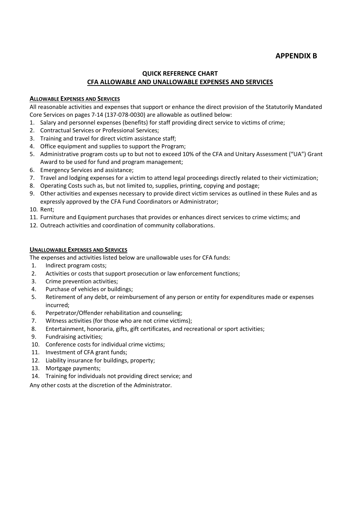# **APPENDIX B**

#### **QUICK REFERENCE CHART CFA ALLOWABLE AND UNALLOWABLE EXPENSES AND SERVICES**

#### **ALLOWABLE EXPENSES AND SERVICES**

All reasonable activities and expenses that support or enhance the direct provision of the Statutorily Mandated Core Services on pages 7-14 (137-078-0030) are allowable as outlined below:

- 1. Salary and personnel expenses (benefits) for staff providing direct service to victims of crime;
- 2. Contractual Services or Professional Services;
- 3. Training and travel for direct victim assistance staff;
- 4. Office equipment and supplies to support the Program;
- 5. Administrative program costs up to but not to exceed 10% of the CFA and Unitary Assessment ("UA") Grant Award to be used for fund and program management;
- 6. Emergency Services and assistance;
- 7. Travel and lodging expenses for a victim to attend legal proceedings directly related to their victimization;
- 8. Operating Costs such as, but not limited to, supplies, printing, copying and postage;
- 9. Other activities and expenses necessary to provide direct victim services as outlined in these Rules and as expressly approved by the CFA Fund Coordinators or Administrator;
- 10. Rent;
- 11. Furniture and Equipment purchases that provides or enhances direct services to crime victims; and
- 12. Outreach activities and coordination of community collaborations.

#### **UNALLOWABLE EXPENSES AND SERVICES**

The expenses and activities listed below are unallowable uses for CFA funds:

- 1. Indirect program costs;
- 2. Activities or costs that support prosecution or law enforcement functions;
- 3. Crime prevention activities;
- 4. Purchase of vehicles or buildings;
- 5. Retirement of any debt, or reimbursement of any person or entity for expenditures made or expenses incurred;
- 6. Perpetrator/Offender rehabilitation and counseling;
- 7. Witness activities (for those who are not crime victims);
- 8. Entertainment, honoraria, gifts, gift certificates, and recreational or sport activities;
- 9. Fundraising activities;
- 10. Conference costs for individual crime victims;
- 11. Investment of CFA grant funds;
- 12. Liability insurance for buildings, property;
- 13. Mortgage payments;
- 14. Training for individuals not providing direct service; and

Any other costs at the discretion of the Administrator.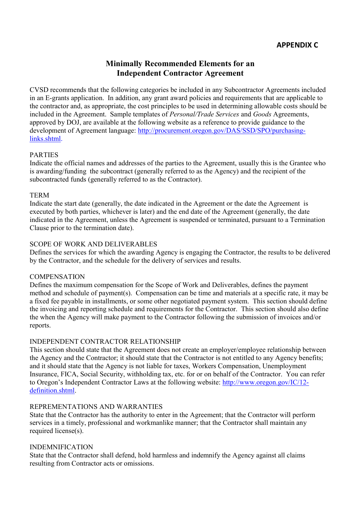# **Minimally Recommended Elements for an Independent Contractor Agreement**

CVSD recommends that the following categories be included in any Subcontractor Agreements included in an E-grants application. In addition, any grant award policies and requirements that are applicable to the contractor and, as appropriate, the cost principles to be used in determining allowable costs should be included in the Agreement. Sample templates of *Personal/Trade Services* and *Goods* Agreements, approved by DOJ, are available at the following website as a reference to provide guidance to the development of Agreement language: http://procurement.oregon.gov/DAS/SSD/SPO/purchasinglinks.shtml.

# PARTIES

Indicate the official names and addresses of the parties to the Agreement, usually this is the Grantee who is awarding/funding the subcontract (generally referred to as the Agency) and the recipient of the subcontracted funds (generally referred to as the Contractor).

# TERM

Indicate the start date (generally, the date indicated in the Agreement or the date the Agreement is executed by both parties, whichever is later) and the end date of the Agreement (generally, the date indicated in the Agreement, unless the Agreement is suspended or terminated, pursuant to a Termination Clause prior to the termination date).

# SCOPE OF WORK AND DELIVERABLES

Defines the services for which the awarding Agency is engaging the Contractor, the results to be delivered by the Contractor, and the schedule for the delivery of services and results.

# **COMPENSATION**

Defines the maximum compensation for the Scope of Work and Deliverables, defines the payment method and schedule of payment(s). Compensation can be time and materials at a specific rate, it may be a fixed fee payable in installments, or some other negotiated payment system. This section should define the invoicing and reporting schedule and requirements for the Contractor. This section should also define the when the Agency will make payment to the Contractor following the submission of invoices and/or reports.

# INDEPENDENT CONTRACTOR RELATIONSHIP

This section should state that the Agreement does not create an employer/employee relationship between the Agency and the Contractor; it should state that the Contractor is not entitled to any Agency benefits; and it should state that the Agency is not liable for taxes, Workers Compensation, Unemployment Insurance, FICA, Social Security, withholding tax, etc. for or on behalf of the Contractor. You can refer to Oregon's Independent Contractor Laws at the following website: http://www.oregon.gov/IC/12 definition.shtml.

#### REPREMENTATIONS AND WARRANTIES

State that the Contractor has the authority to enter in the Agreement; that the Contractor will perform services in a timely, professional and workmanlike manner; that the Contractor shall maintain any required license(s).

# INDEMNIFICATION

State that the Contractor shall defend, hold harmless and indemnify the Agency against all claims resulting from Contractor acts or omissions.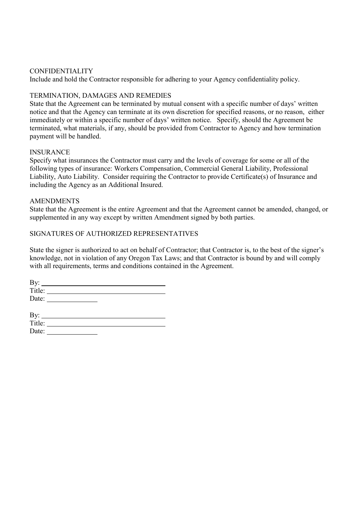#### CONFIDENTIALITY

Include and hold the Contractor responsible for adhering to your Agency confidentiality policy.

# TERMINATION, DAMAGES AND REMEDIES

State that the Agreement can be terminated by mutual consent with a specific number of days' written notice and that the Agency can terminate at its own discretion for specified reasons, or no reason, either immediately or within a specific number of days' written notice. Specify, should the Agreement be terminated, what materials, if any, should be provided from Contractor to Agency and how termination payment will be handled.

#### **INSURANCE**

Specify what insurances the Contractor must carry and the levels of coverage for some or all of the following types of insurance: Workers Compensation, Commercial General Liability, Professional Liability, Auto Liability. Consider requiring the Contractor to provide Certificate(s) of Insurance and including the Agency as an Additional Insured.

#### AMENDMENTS

State that the Agreement is the entire Agreement and that the Agreement cannot be amended, changed, or supplemented in any way except by written Amendment signed by both parties.

# SIGNATURES OF AUTHORIZED REPRESENTATIVES

State the signer is authorized to act on behalf of Contractor; that Contractor is, to the best of the signer's knowledge, not in violation of any Oregon Tax Laws; and that Contractor is bound by and will comply with all requirements, terms and conditions contained in the Agreement.

| By:    |  |  |
|--------|--|--|
| Title: |  |  |
| Date:  |  |  |
|        |  |  |

| By:    |  |
|--------|--|
| Title: |  |
| Date:  |  |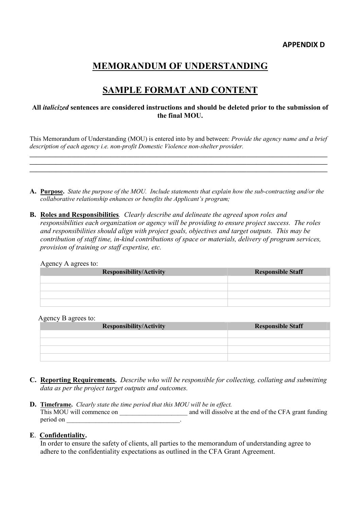# **MEMORANDUM OF UNDERSTANDING**

# **SAMPLE FORMAT AND CONTENT**

#### **All** *italicized* **sentences are considered instructions and should be deleted prior to the submission of the final MOU.**

This Memorandum of Understanding (MOU) is entered into by and between: *Provide the agency name and a brief description of each agency i.e. non-profit Domestic Violence non-shelter provider.* **\_\_\_\_\_\_\_\_\_\_\_\_\_\_\_\_\_\_\_\_\_\_\_\_\_\_\_\_\_\_\_\_\_\_\_\_\_\_\_\_\_\_\_\_\_\_\_\_\_\_\_\_\_\_\_\_\_\_\_\_\_\_\_\_\_\_\_\_\_\_\_\_\_\_\_\_\_\_\_\_\_\_\_\_\_\_\_\_\_\_\_\_**

**A. Purpose.** *State the purpose of the MOU. Include statements that explain how the sub-contracting and/or the collaborative relationship enhances or benefits the Applicant's program;*

**\_\_\_\_\_\_\_\_\_\_\_\_\_\_\_\_\_\_\_\_\_\_\_\_\_\_\_\_\_\_\_\_\_\_\_\_\_\_\_\_\_\_\_\_\_\_\_\_\_\_\_\_\_\_\_\_\_\_\_\_\_\_\_\_\_\_\_\_\_\_\_\_\_\_\_\_\_\_\_\_\_\_\_\_\_\_\_\_\_\_\_\_**

**B. Roles and Responsibilities***. Clearly describe and delineate the agreed upon roles and responsibilities each organization or agency will be providing to ensure project success. The roles and responsibilities should align with project goals, objectives and target outputs. This may be contribution of staff time, in-kind contributions of space or materials, delivery of program services, provision of training or staff expertise, etc.*

| . .<br>_<br><b>Responsibility/Activity</b> | <b>Responsible Staff</b> |
|--------------------------------------------|--------------------------|
|                                            |                          |
|                                            |                          |
|                                            |                          |
|                                            |                          |

#### Agency B agrees to:

| $\tilde{}$<br>$-1$<br>$\overline{\phantom{0}}$<br><b>Responsibility/Activity</b> | <b>Responsible Staff</b> |  |  |
|----------------------------------------------------------------------------------|--------------------------|--|--|
|                                                                                  |                          |  |  |
|                                                                                  |                          |  |  |
|                                                                                  |                          |  |  |
|                                                                                  |                          |  |  |

- **C. Reporting Requirements.** *Describe who will be responsible for collecting, collating and submitting data as per the project target outputs and outcomes.*
- **D. Timeframe.** *Clearly state the time period that this MOU will be in effect.* This MOU will commence on \_\_\_\_\_\_\_\_\_\_\_\_\_\_\_\_\_\_\_\_\_\_\_\_\_\_\_\_ and will dissolve at the end of the CFA grant funding period on \_\_\_\_\_\_\_\_\_\_\_\_\_\_\_\_\_\_\_\_\_\_\_\_\_\_\_\_\_\_\_\_\_\_\_.

#### **E**. **Confidentiality.**

In order to ensure the safety of clients, all parties to the memorandum of understanding agree to adhere to the confidentiality expectations as outlined in the CFA Grant Agreement.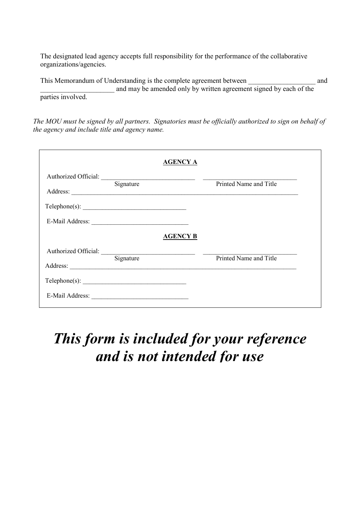The designated lead agency accepts full responsibility for the performance of the collaborative organizations/agencies.

This Memorandum of Understanding is the complete agreement between and and may be amended only by written agreement signed by each of the parties involved.

*The MOU must be signed by all partners. Signatories must be officially authorized to sign on behalf of the agency and include title and agency name.*

|                                  |           | <b>AGENCY A</b> |                        |
|----------------------------------|-----------|-----------------|------------------------|
| Authorized Official:<br>Address: | Signature |                 | Printed Name and Title |
| Telephone(s):                    |           |                 |                        |
|                                  |           |                 |                        |
|                                  |           | <b>AGENCY B</b> |                        |
| Authorized Official:             | Signature |                 | Printed Name and Title |
| Address:                         |           |                 |                        |
| $\text{Telephone}(s):$           |           |                 |                        |
|                                  |           |                 |                        |
|                                  |           |                 |                        |

# *This form is included for your reference and is not intended for use*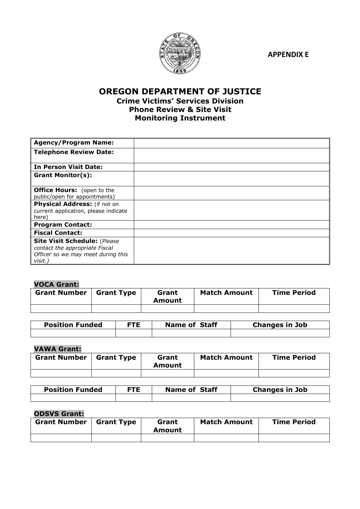**APPENDIX E**



# **OREGON DEPARTMENT OF JUSTICE Crime Victims' Services Division Phone Review & Site Visit Monitoring Instrument**

| <b>Agency/Program Name:</b>                                                                                            |  |
|------------------------------------------------------------------------------------------------------------------------|--|
| <b>Telephone Review Date:</b>                                                                                          |  |
| <b>In Person Visit Date:</b>                                                                                           |  |
| <b>Grant Monitor(s):</b>                                                                                               |  |
| <b>Office Hours:</b> (open to the<br>public/open for appointments)                                                     |  |
| Physical Address: (if not on<br>current application, please indicate<br>here)                                          |  |
| <b>Program Contact:</b>                                                                                                |  |
| <b>Fiscal Contact:</b>                                                                                                 |  |
| <b>Site Visit Schedule: (Please</b><br>contact the appropriate Fiscal<br>Officer so we may meet during this<br>visit.) |  |

# **VOCA Grant:**

| <b>Grant Number</b> | <b>Grant Type</b> | Grant<br>Amount | <b>Match Amount</b> | <b>Time Period</b> |
|---------------------|-------------------|-----------------|---------------------|--------------------|
|                     |                   |                 |                     |                    |

| <b>Position Funded</b> | FTE. | <b>Name of Staff</b> | <b>Changes in Job</b> |  |
|------------------------|------|----------------------|-----------------------|--|
|                        |      |                      |                       |  |

# **VAWA Grant:**

| <b>Grant Number</b> | <b>Grant Type</b> | Grant<br>Amount | <b>Match Amount</b> | <b>Time Period</b> |
|---------------------|-------------------|-----------------|---------------------|--------------------|
|                     |                   |                 |                     |                    |

| <b>Position Funded</b> | FTE | <b>Name of Staff</b> | <b>Changes in Job</b> |
|------------------------|-----|----------------------|-----------------------|
|                        |     |                      |                       |

# **ODSVS Grant:**

| <b>Grant Number</b> | <b>Grant Type</b> | Grant<br>Amount | <b>Match Amount</b> | <b>Time Period</b> |
|---------------------|-------------------|-----------------|---------------------|--------------------|
|                     |                   |                 |                     |                    |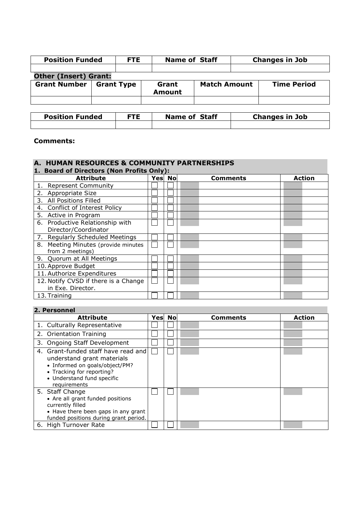| <b>Position Funded</b>                   |  | <b>FTE</b> | <b>Name of Staff</b>   |                     | <b>Changes in Job</b> |                    |  |
|------------------------------------------|--|------------|------------------------|---------------------|-----------------------|--------------------|--|
|                                          |  |            |                        |                     |                       |                    |  |
| <b>Other (Insert) Grant:</b>             |  |            |                        |                     |                       |                    |  |
| <b>Grant Number</b><br><b>Grant Type</b> |  |            | Grant<br><b>Amount</b> | <b>Match Amount</b> |                       | <b>Time Period</b> |  |
|                                          |  |            |                        |                     |                       |                    |  |

| <b>Position Funded</b> | FTE. | <b>Name of Staff</b> | <b>Changes in Job</b> |
|------------------------|------|----------------------|-----------------------|
|                        |      |                      |                       |

#### **Comments:**

# **A. HUMAN RESOURCES & COMMUNITY PARTNERSHIPS**

| 1. Board of Directors (Non Profits Only): |        |          |               |
|-------------------------------------------|--------|----------|---------------|
| <b>Attribute</b>                          | Yes No | Comments | <b>Action</b> |
| <b>Represent Community</b>                |        |          |               |
| 2. Appropriate Size                       |        |          |               |
| 3. All Positions Filled                   |        |          |               |
| 4. Conflict of Interest Policy            |        |          |               |
| 5. Active in Program                      |        |          |               |
| 6. Productive Relationship with           |        |          |               |
| Director/Coordinator                      |        |          |               |
| <b>Regularly Scheduled Meetings</b><br>7. |        |          |               |
| 8. Meeting Minutes (provide minutes       |        |          |               |
| from 2 meetings)                          |        |          |               |
| 9. Quorum at All Meetings                 |        |          |               |
| 10. Approve Budget                        |        |          |               |
| 11. Authorize Expenditures                |        |          |               |
| 12. Notify CVSD if there is a Change      |        |          |               |
| in Exe. Director.                         |        |          |               |
| 13. Training                              |        |          |               |

# **2. Personnel**

| <b>Attribute</b>                                                                                                                                                               | <b>Yesl Nol</b> | Comments | <b>Action</b> |
|--------------------------------------------------------------------------------------------------------------------------------------------------------------------------------|-----------------|----------|---------------|
| 1. Culturally Representative                                                                                                                                                   |                 |          |               |
| 2. Orientation Training                                                                                                                                                        |                 |          |               |
| 3. Ongoing Staff Development                                                                                                                                                   |                 |          |               |
| 4. Grant-funded staff have read and<br>understand grant materials<br>• Informed on goals/object/PM?<br>• Tracking for reporting?<br>• Understand fund specific<br>requirements |                 |          |               |
| 5. Staff Change<br>• Are all grant funded positions<br>currently filled<br>• Have there been gaps in any grant<br>funded positions during grant period.                        |                 |          |               |
| 6. High Turnover Rate                                                                                                                                                          |                 |          |               |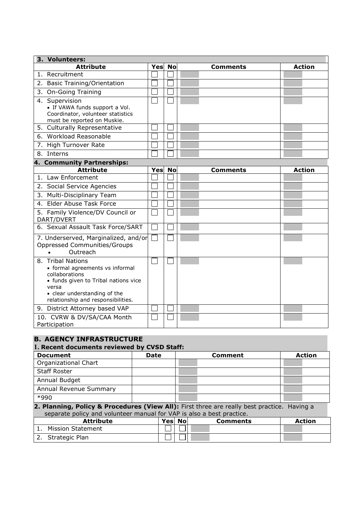| 3. Volunteers:                                                                                                                                                                                |     |           |                 |               |  |  |  |  |  |  |
|-----------------------------------------------------------------------------------------------------------------------------------------------------------------------------------------------|-----|-----------|-----------------|---------------|--|--|--|--|--|--|
| <b>Attribute</b>                                                                                                                                                                              | Yes | <b>No</b> | <b>Comments</b> | <b>Action</b> |  |  |  |  |  |  |
| 1. Recruitment                                                                                                                                                                                |     |           |                 |               |  |  |  |  |  |  |
| 2. Basic Training/Orientation                                                                                                                                                                 |     |           |                 |               |  |  |  |  |  |  |
| 3. On-Going Training                                                                                                                                                                          |     |           |                 |               |  |  |  |  |  |  |
| 4. Supervision<br>• If VAWA funds support a Vol.<br>Coordinator, volunteer statistics<br>must be reported on Muskie.                                                                          |     |           |                 |               |  |  |  |  |  |  |
| 5. Culturally Representative                                                                                                                                                                  |     |           |                 |               |  |  |  |  |  |  |
| 6. Workload Reasonable                                                                                                                                                                        |     |           |                 |               |  |  |  |  |  |  |
| 7. High Turnover Rate                                                                                                                                                                         |     |           |                 |               |  |  |  |  |  |  |
| 8. Interns                                                                                                                                                                                    |     |           |                 |               |  |  |  |  |  |  |
| 4. Community Partnerships:                                                                                                                                                                    |     |           |                 |               |  |  |  |  |  |  |
| <b>Attribute</b>                                                                                                                                                                              | Yes | <b>No</b> | <b>Comments</b> | <b>Action</b> |  |  |  |  |  |  |
| 1. Law Enforcement                                                                                                                                                                            |     |           |                 |               |  |  |  |  |  |  |
| 2. Social Service Agencies                                                                                                                                                                    |     |           |                 |               |  |  |  |  |  |  |
| 3. Multi-Disciplinary Team                                                                                                                                                                    |     |           |                 |               |  |  |  |  |  |  |
| 4. Elder Abuse Task Force                                                                                                                                                                     |     |           |                 |               |  |  |  |  |  |  |
| 5. Family Violence/DV Council or<br>DART/DVERT                                                                                                                                                |     |           |                 |               |  |  |  |  |  |  |
| 6. Sexual Assault Task Force/SART                                                                                                                                                             |     |           |                 |               |  |  |  |  |  |  |
| 7. Underserved, Marginalized, and/or<br><b>Oppressed Communities/Groups</b><br>Outreach                                                                                                       |     |           |                 |               |  |  |  |  |  |  |
| 8. Tribal Nations<br>• formal agreements vs informal<br>collaborations<br>• funds given to Tribal nations vice<br>versa<br>• clear understanding of the<br>relationship and responsibilities. |     |           |                 |               |  |  |  |  |  |  |
| 9. District Attorney based VAP                                                                                                                                                                |     |           |                 |               |  |  |  |  |  |  |
| 10. CVRW & DV/SA/CAA Month<br>Participation                                                                                                                                                   |     |           |                 |               |  |  |  |  |  |  |

#### **B. AGENCY INFRASTRUCTURE**

# **1. Recent documents reviewed by CVSD Staff: Document Date Comment Action** Organizational Chart Staff Roster Annual Budget Annual Revenue Summary \*990

#### **2. Planning, Policy & Procedures (View All):** First three are really best practice. Having a separate policy and volunteer manual for VAP is also a best practice.

|    | <b>Attribute</b>         | Yes No | Comments | <b>Action</b> |
|----|--------------------------|--------|----------|---------------|
|    | <b>Mission Statement</b> |        |          |               |
| z. | Strategic Plan           |        |          |               |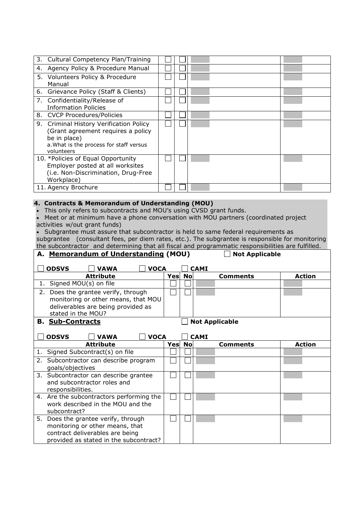|    | 3. Cultural Competency Plan/Training    |  |  |
|----|-----------------------------------------|--|--|
|    |                                         |  |  |
| 4. | Agency Policy & Procedure Manual        |  |  |
|    | 5. Volunteers Policy & Procedure        |  |  |
|    | Manual                                  |  |  |
|    | 6. Grievance Policy (Staff & Clients)   |  |  |
|    | 7. Confidentiality/Release of           |  |  |
|    | Information Policies                    |  |  |
|    | 8. CVCP Procedures/Policies             |  |  |
|    | 9. Criminal History Verification Policy |  |  |
|    | (Grant agreement requires a policy      |  |  |
|    | be in place)                            |  |  |
|    | a. What is the process for staff versus |  |  |
|    | volunteers                              |  |  |
|    | 10. *Policies of Equal Opportunity      |  |  |
|    | Employer posted at all worksites        |  |  |
|    | (i.e. Non-Discrimination, Drug-Free     |  |  |
|    | Workplace)                              |  |  |
|    |                                         |  |  |
|    | 11. Agency Brochure                     |  |  |

#### **4. Contracts & Memorandum of Understanding (MOU)**

This only refers to subcontracts and MOU's using CVSD grant funds.

 Meet or at minimum have a phone conversation with MOU partners (coordinated project activities w/out grant funds)

 Subgrantee must assure that subcontractor is held to same federal requirements as subgrantee (consultant fees, per diem rates, etc.). The subgrantee is responsible for monitoring the subcontractor and determining that all fiscal and programmatic responsibilities are fulfilled.

| A. Memorandum of Understanding (MOU) |                                          |                                                                    |             |      |           | <b>Not Applicable</b> |                       |               |
|--------------------------------------|------------------------------------------|--------------------------------------------------------------------|-------------|------|-----------|-----------------------|-----------------------|---------------|
|                                      | <b>ODSVS</b>                             | <b>VAWA</b>                                                        | <b>VOCA</b> |      |           | <b>CAMI</b>           |                       |               |
|                                      |                                          | <b>Attribute</b>                                                   |             | Yes  | No        |                       | Comments              | <b>Action</b> |
| 1.                                   | Signed MOU(s) on file                    |                                                                    |             |      |           |                       |                       |               |
|                                      | 2. Does the grantee verify, through      |                                                                    |             |      |           |                       |                       |               |
|                                      |                                          | monitoring or other means, that MOU                                |             |      |           |                       |                       |               |
|                                      |                                          | deliverables are being provided as                                 |             |      |           |                       |                       |               |
|                                      | stated in the MOU?                       |                                                                    |             |      |           |                       |                       |               |
|                                      | <b>B. Sub-Contracts</b>                  |                                                                    |             |      |           |                       | <b>Not Applicable</b> |               |
|                                      |                                          |                                                                    |             |      |           |                       |                       |               |
|                                      | <b>ODSVS</b>                             | <b>VAWA</b>                                                        | <b>VOCA</b> |      |           | <b>CAMI</b>           |                       |               |
|                                      |                                          | <b>Attribute</b>                                                   |             | Yesl | <b>No</b> |                       | Comments              | <b>Action</b> |
|                                      | 1. Signed Subcontract(s) on file         |                                                                    |             |      |           |                       |                       |               |
|                                      | 2. Subcontractor can describe program    |                                                                    |             |      |           |                       |                       |               |
|                                      | goals/objectives                         |                                                                    |             |      |           |                       |                       |               |
|                                      | 3. Subcontractor can describe grantee    |                                                                    |             |      |           |                       |                       |               |
|                                      | and subcontractor roles and              |                                                                    |             |      |           |                       |                       |               |
|                                      | responsibilities.                        |                                                                    |             |      |           |                       |                       |               |
|                                      | 4. Are the subcontractors performing the |                                                                    |             |      |           |                       |                       |               |
|                                      | subcontract?                             | work described in the MOU and the                                  |             |      |           |                       |                       |               |
|                                      |                                          |                                                                    |             |      |           |                       |                       |               |
| 5.                                   | Does the grantee verify, through         |                                                                    |             |      |           |                       |                       |               |
|                                      |                                          | monitoring or other means, that<br>contract deliverables are being |             |      |           |                       |                       |               |
|                                      |                                          | provided as stated in the subcontract?                             |             |      |           |                       |                       |               |
|                                      |                                          |                                                                    |             |      |           |                       |                       |               |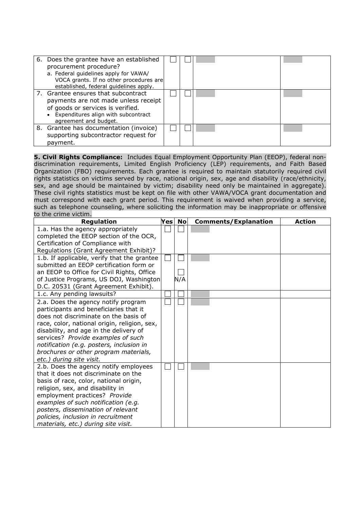| 6. Does the grantee have an established<br>procurement procedure?<br>a. Federal guidelines apply for VAWA/<br>VOCA grants. If no other procedures are<br>established, federal guidelines apply. |  |  |
|-------------------------------------------------------------------------------------------------------------------------------------------------------------------------------------------------|--|--|
| 7. Grantee ensures that subcontract<br>payments are not made unless receipt<br>of goods or services is verified.<br>• Expenditures align with subcontract<br>agreement and budget.              |  |  |
| 8. Grantee has documentation (invoice)<br>supporting subcontractor request for<br>payment.                                                                                                      |  |  |

**5. Civil Rights Compliance:** Includes Equal Employment Opportunity Plan (EEOP), federal nondiscrimination requirements, Limited English Proficiency (LEP) requirements, and Faith Based Organization (FBO) requirements. Each grantee is required to maintain statutorily required civil rights statistics on victims served by race, national origin, sex, age and disability (race/ethnicity, sex, and age should be maintained by victim; disability need only be maintained in aggregate). These civil rights statistics must be kept on file with other VAWA/VOCA grant documentation and must correspond with each grant period. This requirement is waived when providing a service, such as telephone counseling, where soliciting the information may be inappropriate or offensive to the crime victim.

| <b>Regulation</b>                            | $\mathsf{Yes}\vert$ | <b>No</b> | <b>Comments/Explanation</b> | <b>Action</b> |
|----------------------------------------------|---------------------|-----------|-----------------------------|---------------|
| 1.a. Has the agency appropriately            |                     |           |                             |               |
| completed the EEOP section of the OCR,       |                     |           |                             |               |
| Certification of Compliance with             |                     |           |                             |               |
| Regulations (Grant Agreement Exhibit)?       |                     |           |                             |               |
| 1.b. If applicable, verify that the grantee  |                     |           |                             |               |
| submitted an EEOP certification form or      |                     |           |                             |               |
| an EEOP to Office for Civil Rights, Office   |                     |           |                             |               |
| of Justice Programs, US DOJ, Washington      |                     | N/A       |                             |               |
| D.C. 20531 (Grant Agreement Exhibit).        |                     |           |                             |               |
| 1.c. Any pending lawsuits?                   |                     |           |                             |               |
| 2.a. Does the agency notify program          |                     |           |                             |               |
| participants and beneficiaries that it       |                     |           |                             |               |
| does not discriminate on the basis of        |                     |           |                             |               |
| race, color, national origin, religion, sex, |                     |           |                             |               |
| disability, and age in the delivery of       |                     |           |                             |               |
| services? Provide examples of such           |                     |           |                             |               |
| notification (e.g. posters, inclusion in     |                     |           |                             |               |
| brochures or other program materials,        |                     |           |                             |               |
| etc.) during site visit.                     |                     |           |                             |               |
| 2.b. Does the agency notify employees        |                     |           |                             |               |
| that it does not discriminate on the         |                     |           |                             |               |
| basis of race, color, national origin,       |                     |           |                             |               |
| religion, sex, and disability in             |                     |           |                             |               |
| employment practices? Provide                |                     |           |                             |               |
| examples of such notification (e.g.          |                     |           |                             |               |
| posters, dissemination of relevant           |                     |           |                             |               |
| policies, inclusion in recruitment           |                     |           |                             |               |
| materials, etc.) during site visit.          |                     |           |                             |               |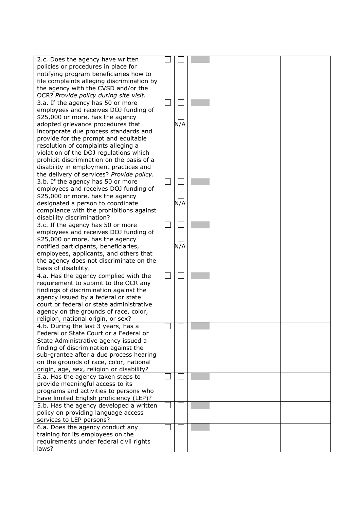| 2.c. Does the agency have written          |     |  |
|--------------------------------------------|-----|--|
| policies or procedures in place for        |     |  |
| notifying program beneficiaries how to     |     |  |
|                                            |     |  |
| file complaints alleging discrimination by |     |  |
| the agency with the CVSD and/or the        |     |  |
| OCR? Provide policy during site visit.     |     |  |
|                                            |     |  |
| 3.a. If the agency has 50 or more          |     |  |
| employees and receives DOJ funding of      |     |  |
| \$25,000 or more, has the agency           |     |  |
|                                            |     |  |
| adopted grievance procedures that          | N/A |  |
| incorporate due process standards and      |     |  |
| provide for the prompt and equitable       |     |  |
|                                            |     |  |
| resolution of complaints alleging a        |     |  |
| violation of the DOJ regulations which     |     |  |
| prohibit discrimination on the basis of a  |     |  |
| disability in employment practices and     |     |  |
|                                            |     |  |
| the delivery of services? Provide policy.  |     |  |
| 3.b. If the agency has 50 or more          |     |  |
| employees and receives DOJ funding of      |     |  |
|                                            |     |  |
| \$25,000 or more, has the agency           |     |  |
| designated a person to coordinate          | N/A |  |
| compliance with the prohibitions against   |     |  |
|                                            |     |  |
| disability discrimination?                 |     |  |
| 3.c. If the agency has 50 or more          |     |  |
| employees and receives DOJ funding of      |     |  |
| \$25,000 or more, has the agency           |     |  |
|                                            |     |  |
| notified participants, beneficiaries,      | N/A |  |
| employees, applicants, and others that     |     |  |
| the agency does not discriminate on the    |     |  |
|                                            |     |  |
| basis of disability.                       |     |  |
| 4.a. Has the agency complied with the      |     |  |
| requirement to submit to the OCR any       |     |  |
| findings of discrimination against the     |     |  |
|                                            |     |  |
| agency issued by a federal or state        |     |  |
| court or federal or state administrative   |     |  |
| agency on the grounds of race, color,      |     |  |
|                                            |     |  |
| religion, national origin, or sex?         |     |  |
| 4.b. During the last 3 years, has a        |     |  |
| Federal or State Court or a Federal or     |     |  |
| State Administrative agency issued a       |     |  |
|                                            |     |  |
| finding of discrimination against the      |     |  |
| sub-grantee after a due process hearing    |     |  |
| on the grounds of race, color, national    |     |  |
| origin, age, sex, religion or disability?  |     |  |
|                                            |     |  |
| 5.a. Has the agency taken steps to         |     |  |
| provide meaningful access to its           |     |  |
| programs and activities to persons who     |     |  |
|                                            |     |  |
| have limited English proficiency (LEP)?    |     |  |
| 5.b. Has the agency developed a written    |     |  |
| policy on providing language access        |     |  |
| services to LEP persons?                   |     |  |
|                                            |     |  |
| 6.a. Does the agency conduct any           |     |  |
| training for its employees on the          |     |  |
| requirements under federal civil rights    |     |  |
| laws?                                      |     |  |
|                                            |     |  |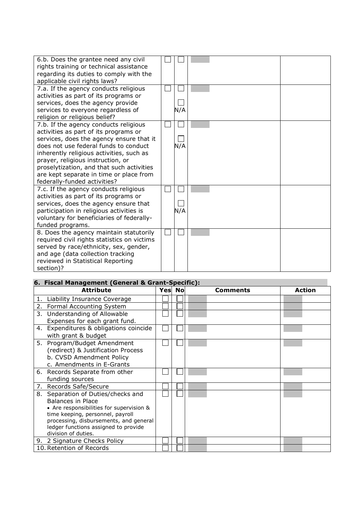| 6.b. Does the grantee need any civil<br>rights training or technical assistance<br>regarding its duties to comply with the<br>applicable civil rights laws?<br>7.a. If the agency conducts religious                                                                                                                                                                         |     |  |
|------------------------------------------------------------------------------------------------------------------------------------------------------------------------------------------------------------------------------------------------------------------------------------------------------------------------------------------------------------------------------|-----|--|
| activities as part of its programs or<br>services, does the agency provide<br>services to everyone regardless of<br>religion or religious belief?                                                                                                                                                                                                                            | N/A |  |
| 7.b. If the agency conducts religious<br>activities as part of its programs or<br>services, does the agency ensure that it<br>does not use federal funds to conduct<br>inherently religious activities, such as<br>prayer, religious instruction, or<br>proselytization, and that such activities<br>are kept separate in time or place from<br>federally-funded activities? | N/A |  |
| 7.c. If the agency conducts religious<br>activities as part of its programs or<br>services, does the agency ensure that<br>participation in religious activities is<br>voluntary for beneficiaries of federally-<br>funded programs.                                                                                                                                         | N/A |  |
| 8. Does the agency maintain statutorily<br>required civil rights statistics on victims<br>served by race/ethnicity, sex, gender,<br>and age (data collection tracking<br>reviewed in Statistical Reporting<br>section)?                                                                                                                                                      |     |  |

|    | 6. Fiscal Management (General & Grant-Specific): |  |  |               |          |  |               |  |  |  |  |
|----|--------------------------------------------------|--|--|---------------|----------|--|---------------|--|--|--|--|
|    | <b>Attribute</b>                                 |  |  | <b>Yes</b> No | Comments |  | <b>Action</b> |  |  |  |  |
|    | 1. Liability Insurance Coverage                  |  |  |               |          |  |               |  |  |  |  |
|    | 2. Formal Accounting System                      |  |  |               |          |  |               |  |  |  |  |
| 3. | Understanding of Allowable                       |  |  |               |          |  |               |  |  |  |  |
|    | Expenses for each grant fund.                    |  |  |               |          |  |               |  |  |  |  |
| 4. | Expenditures & obligations coincide              |  |  |               |          |  |               |  |  |  |  |
|    | with grant & budget                              |  |  |               |          |  |               |  |  |  |  |
|    | 5. Program/Budget Amendment                      |  |  |               |          |  |               |  |  |  |  |
|    | (redirect) & Justification Process               |  |  |               |          |  |               |  |  |  |  |
|    | b. CVSD Amendment Policy                         |  |  |               |          |  |               |  |  |  |  |
|    | c. Amendments in E-Grants                        |  |  |               |          |  |               |  |  |  |  |
|    | 6. Records Separate from other                   |  |  |               |          |  |               |  |  |  |  |
|    | funding sources                                  |  |  |               |          |  |               |  |  |  |  |
|    | 7. Records Safe/Secure                           |  |  |               |          |  |               |  |  |  |  |
| 8. | Separation of Duties/checks and                  |  |  |               |          |  |               |  |  |  |  |
|    | <b>Balances in Place</b>                         |  |  |               |          |  |               |  |  |  |  |
|    | • Are responsibilities for supervision &         |  |  |               |          |  |               |  |  |  |  |
|    | time keeping, personnel, payroll                 |  |  |               |          |  |               |  |  |  |  |
|    | processing, disbursements, and general           |  |  |               |          |  |               |  |  |  |  |
|    | ledger functions assigned to provide             |  |  |               |          |  |               |  |  |  |  |
|    | division of duties.                              |  |  |               |          |  |               |  |  |  |  |
| 9. | 2 Signature Checks Policy                        |  |  |               |          |  |               |  |  |  |  |
|    | 10. Retention of Records                         |  |  |               |          |  |               |  |  |  |  |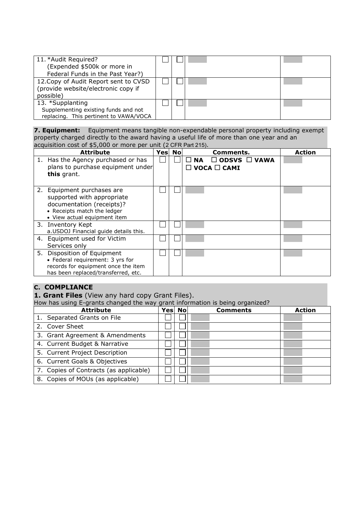| 11. *Audit Required?<br>(Expended \$500k or more in<br>Federal Funds in the Past Year?)            |  |  |
|----------------------------------------------------------------------------------------------------|--|--|
| 12. Copy of Audit Report sent to CVSD<br>(provide website/electronic copy if<br>possible)          |  |  |
| 13. *Supplanting<br>Supplementing existing funds and not<br>replacing. This pertinent to VAWA/VOCA |  |  |

**7. Equipment:** Equipment means tangible non-expendable personal property including exempt property charged directly to the award having a useful life of more than one year and an acquisition cost of \$5,000 or more per unit (2 CFR Part 215).

| <b>Attribute</b>                                                                                                                                     | Yesl | <b>No</b> | Comments.                                                        | <b>Action</b> |
|------------------------------------------------------------------------------------------------------------------------------------------------------|------|-----------|------------------------------------------------------------------|---------------|
| 1. Has the Agency purchased or has<br>plans to purchase equipment under<br>this grant.                                                               |      |           | $\Box$ ODSVS $\Box$ VAWA<br><b>NA</b><br>$\Box$ VOCA $\Box$ CAMI |               |
| 2. Equipment purchases are<br>supported with appropriate<br>documentation (receipts)?<br>• Receipts match the ledger<br>• View actual equipment item |      |           |                                                                  |               |
| 3. Inventory Kept<br>a. USDOJ Financial guide details this.                                                                                          |      |           |                                                                  |               |
| 4. Equipment used for Victim<br>Services only                                                                                                        |      |           |                                                                  |               |
| 5. Disposition of Equipment<br>• Federal requirement: 3 yrs for<br>records for equipment once the item<br>has been replaced/transferred, etc.        |      |           |                                                                  |               |

# **C. COMPLIANCE**

**1. Grant Files** (View any hard copy Grant Files).

How has using E-grants changed the way grant information is being organized?

| <b>Attribute</b>                       | Yes No | <b>Comments</b> | <b>Action</b> |
|----------------------------------------|--------|-----------------|---------------|
| 1. Separated Grants on File            |        |                 |               |
| 2. Cover Sheet                         |        |                 |               |
| 3. Grant Agreement & Amendments        |        |                 |               |
| 4. Current Budget & Narrative          |        |                 |               |
| 5. Current Project Description         |        |                 |               |
| 6. Current Goals & Objectives          |        |                 |               |
| 7. Copies of Contracts (as applicable) |        |                 |               |
| 8. Copies of MOUs (as applicable)      |        |                 |               |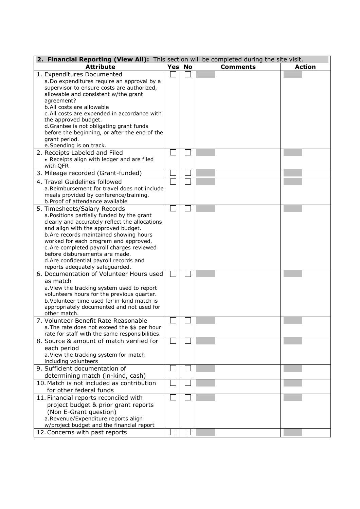| 2. Financial Reporting (View All): This section will be completed during the site visit.   |     |           |                 |               |  |  |
|--------------------------------------------------------------------------------------------|-----|-----------|-----------------|---------------|--|--|
| <b>Attribute</b>                                                                           | Yes | <b>No</b> | <b>Comments</b> | <b>Action</b> |  |  |
| 1. Expenditures Documented                                                                 |     |           |                 |               |  |  |
| a. Do expenditures require an approval by a                                                |     |           |                 |               |  |  |
| supervisor to ensure costs are authorized,                                                 |     |           |                 |               |  |  |
| allowable and consistent w/the grant                                                       |     |           |                 |               |  |  |
| agreement?<br>b.All costs are allowable                                                    |     |           |                 |               |  |  |
| c. All costs are expended in accordance with                                               |     |           |                 |               |  |  |
| the approved budget.                                                                       |     |           |                 |               |  |  |
| d.Grantee is not obligating grant funds                                                    |     |           |                 |               |  |  |
| before the beginning, or after the end of the                                              |     |           |                 |               |  |  |
| grant period.                                                                              |     |           |                 |               |  |  |
| e. Spending is on track.                                                                   |     |           |                 |               |  |  |
| 2. Receipts Labeled and Filed                                                              |     |           |                 |               |  |  |
| • Receipts align with ledger and are filed<br>with QFR                                     |     |           |                 |               |  |  |
| 3. Mileage recorded (Grant-funded)                                                         |     |           |                 |               |  |  |
| 4. Travel Guidelines followed                                                              |     |           |                 |               |  |  |
| a. Reimbursement for travel does not include                                               |     |           |                 |               |  |  |
| meals provided by conference/training.                                                     |     |           |                 |               |  |  |
| b.Proof of attendance available                                                            |     |           |                 |               |  |  |
| 5. Timesheets/Salary Records                                                               |     |           |                 |               |  |  |
| a. Positions partially funded by the grant                                                 |     |           |                 |               |  |  |
| clearly and accurately reflect the allocations<br>and align with the approved budget.      |     |           |                 |               |  |  |
| b. Are records maintained showing hours                                                    |     |           |                 |               |  |  |
| worked for each program and approved.                                                      |     |           |                 |               |  |  |
| c. Are completed payroll charges reviewed                                                  |     |           |                 |               |  |  |
| before disbursements are made.                                                             |     |           |                 |               |  |  |
| d.Are confidential payroll records and                                                     |     |           |                 |               |  |  |
| reports adequately safeguarded.                                                            |     |           |                 |               |  |  |
| 6. Documentation of Volunteer Hours used<br>as match                                       |     |           |                 |               |  |  |
| a. View the tracking system used to report                                                 |     |           |                 |               |  |  |
| volunteers hours for the previous quarter.                                                 |     |           |                 |               |  |  |
| b. Volunteer time used for in-kind match is                                                |     |           |                 |               |  |  |
| appropriately documented and not used for                                                  |     |           |                 |               |  |  |
| other match.                                                                               |     |           |                 |               |  |  |
| 7. Volunteer Benefit Rate Reasonable                                                       |     |           |                 |               |  |  |
| a. The rate does not exceed the \$\$ per hour                                              |     |           |                 |               |  |  |
| rate for staff with the same responsibilities.<br>8. Source & amount of match verified for |     |           |                 |               |  |  |
| each period                                                                                |     |           |                 |               |  |  |
| a. View the tracking system for match                                                      |     |           |                 |               |  |  |
| including volunteers                                                                       |     |           |                 |               |  |  |
| 9. Sufficient documentation of                                                             |     |           |                 |               |  |  |
| determining match (in-kind, cash)                                                          |     |           |                 |               |  |  |
| 10. Match is not included as contribution                                                  |     |           |                 |               |  |  |
| for other federal funds                                                                    |     |           |                 |               |  |  |
| 11. Financial reports reconciled with                                                      |     |           |                 |               |  |  |
| project budget & prior grant reports                                                       |     |           |                 |               |  |  |
| (Non E-Grant question)                                                                     |     |           |                 |               |  |  |
| a.Revenue/Expenditure reports align                                                        |     |           |                 |               |  |  |
| w/project budget and the financial report<br>12. Concerns with past reports                |     |           |                 |               |  |  |
|                                                                                            |     |           |                 |               |  |  |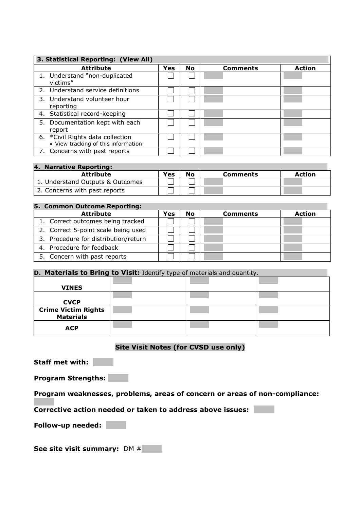| 3. Statistical Reporting: (View All)                                     |     |           |                 |               |  |  |
|--------------------------------------------------------------------------|-----|-----------|-----------------|---------------|--|--|
| <b>Attribute</b>                                                         | Yes | <b>No</b> | <b>Comments</b> | <b>Action</b> |  |  |
| 1. Understand "non-duplicated<br>victims"                                |     |           |                 |               |  |  |
| 2. Understand service definitions                                        |     |           |                 |               |  |  |
| 3. Understand volunteer hour<br>reporting                                |     |           |                 |               |  |  |
| 4. Statistical record-keeping                                            |     |           |                 |               |  |  |
| 5. Documentation kept with each<br>report                                |     |           |                 |               |  |  |
| 6. * Civil Rights data collection<br>• View tracking of this information |     |           |                 |               |  |  |
| 7. Concerns with past reports                                            |     |           |                 |               |  |  |

# **4. Narrative Reporting:**

| <b>Attribute</b>                 | Yes | No | <b>Comments</b> | <b>Action</b> |
|----------------------------------|-----|----|-----------------|---------------|
| 1. Understand Outputs & Outcomes |     |    |                 |               |
| 2. Concerns with past reports    |     |    |                 |               |

# **5. Common Outcome Reporting:**

| <b>Attribute</b>                     | Yes | No | <b>Comments</b> | <b>Action</b> |
|--------------------------------------|-----|----|-----------------|---------------|
| 1. Correct outcomes being tracked    |     |    |                 |               |
| 2. Correct 5-point scale being used  |     |    |                 |               |
| 3. Procedure for distribution/return |     |    |                 |               |
| 4. Procedure for feedback            |     |    |                 |               |
| 5. Concern with past reports         |     |    |                 |               |

#### **D. Materials to Bring to Visit:** Identify type of materials and quantity.

| <b>VINES</b>                                   | . . |  |
|------------------------------------------------|-----|--|
| <b>CVCP</b>                                    |     |  |
| <b>Crime Victim Rights</b><br><b>Materials</b> |     |  |
| <b>ACP</b>                                     |     |  |

# **Site Visit Notes (for CVSD use only)**

**Staff met with:**

**Program Strengths:**

**Program weaknesses, problems, areas of concern or areas of non-compliance:**

**Corrective action needed or taken to address above issues:**

**Follow-up needed:**

**See site visit summary:** DM #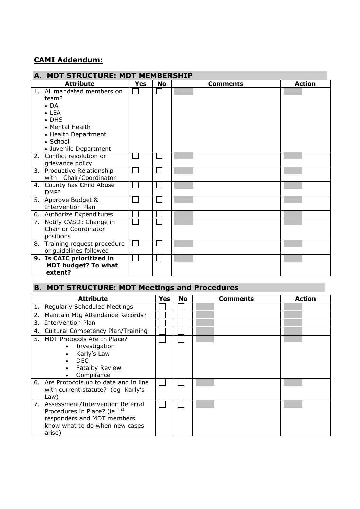# **CAMI Addendum:**

#### **A. MDT STRUCTURE: MDT MEMBERSHIP Attribute Ves No Comments Action** 1. All mandated members on П  $\Box$ team?  $\bullet$  DA LEA • DHS Mental Health • Health Department • School Juvenile Department  $\Box$  $\Box$ 2. Conflict resolution or grievance policy 3. Productive Relationship  $\Box$  $\Box$ with Chair/Coordinator 4. County has Child Abuse  $\Box$  $\Box$ DMP? 5. Approve Budget &  $\Box$  $\Box$ Intervention Plan 6. Authorize Expenditures 7. Notify CVSD: Change in Chair or Coordinator positions 8. Training request procedure  $\Box$  $\Box$ or guidelines followed **9. Is CAIC prioritized in**  $\Box$  $\Box$ **MDT budget? To what extent?**

# **B. MDT STRUCTURE: MDT Meetings and Procedures**

|    | <b>Attribute</b>                                                                                                                              | Yes | <b>No</b> | Comments | <b>Action</b> |
|----|-----------------------------------------------------------------------------------------------------------------------------------------------|-----|-----------|----------|---------------|
| 1. | <b>Regularly Scheduled Meetings</b>                                                                                                           |     |           |          |               |
| 2. | Maintain Mtg Attendance Records?                                                                                                              |     |           |          |               |
| 3. | <b>Intervention Plan</b>                                                                                                                      |     |           |          |               |
| 4. | Cultural Competency Plan/Training                                                                                                             |     |           |          |               |
|    | 5. MDT Protocols Are In Place?<br>Investigation<br>Karly's Law<br>DEC.<br><b>Fatality Review</b><br>Compliance                                |     |           |          |               |
|    | 6. Are Protocols up to date and in line<br>with current statute? (eg Karly's<br>Law)                                                          |     |           |          |               |
|    | 7. Assessment/Intervention Referral<br>Procedures in Place? (ie 1st<br>responders and MDT members<br>know what to do when new cases<br>arise) |     |           |          |               |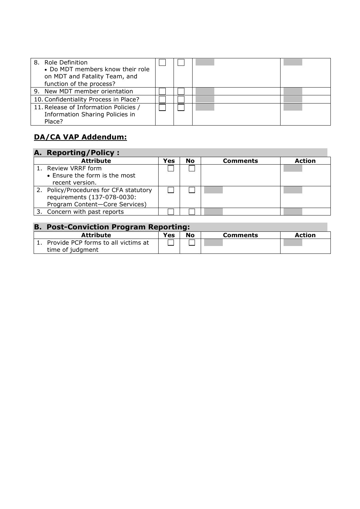| 8. Role Definition<br>• Do MDT members know their role<br>on MDT and Fatality Team, and<br>function of the process? |  |  |
|---------------------------------------------------------------------------------------------------------------------|--|--|
| 9. New MDT member orientation                                                                                       |  |  |
| 10. Confidentiality Process in Place?                                                                               |  |  |
| 11. Release of Information Policies /<br>Information Sharing Policies in<br>Place?                                  |  |  |

# **DA/CA VAP Addendum:**

| A. Reporting/Policy:                   |     |           |                 |               |
|----------------------------------------|-----|-----------|-----------------|---------------|
| <b>Attribute</b>                       | Yes | <b>No</b> | <b>Comments</b> | <b>Action</b> |
| 1. Review VRRF form                    |     |           |                 |               |
| • Ensure the form is the most          |     |           |                 |               |
| recent version.                        |     |           |                 |               |
| 2. Policy/Procedures for CFA statutory |     |           |                 |               |
| requirements (137-078-0030:            |     |           |                 |               |
| Program Content-Core Services)         |     |           |                 |               |
| 3. Concern with past reports           |     |           |                 |               |

| <b>B. Post-Conviction Program Reporting:</b> |     |    |                 |               |  |  |
|----------------------------------------------|-----|----|-----------------|---------------|--|--|
| <b>Attribute</b>                             | Yes | No | <b>Comments</b> | <b>Action</b> |  |  |
| Provide PCP forms to all victims at          |     |    |                 |               |  |  |
| time of judgment                             |     |    |                 |               |  |  |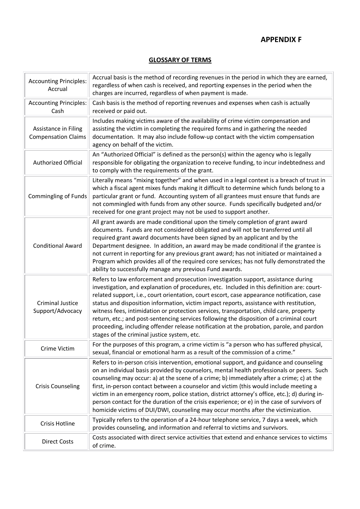# **APPENDIX F**

#### **GLOSSARY OF TERMS**

| <b>Accounting Principles:</b><br>Accrual           | Accrual basis is the method of recording revenues in the period in which they are earned,<br>regardless of when cash is received, and reporting expenses in the period when the<br>charges are incurred, regardless of when payment is made.                                                                                                                                                                                                                                                                                                                                                                                                                                                                |
|----------------------------------------------------|-------------------------------------------------------------------------------------------------------------------------------------------------------------------------------------------------------------------------------------------------------------------------------------------------------------------------------------------------------------------------------------------------------------------------------------------------------------------------------------------------------------------------------------------------------------------------------------------------------------------------------------------------------------------------------------------------------------|
| <b>Accounting Principles:</b><br>Cash              | Cash basis is the method of reporting revenues and expenses when cash is actually<br>received or paid out.                                                                                                                                                                                                                                                                                                                                                                                                                                                                                                                                                                                                  |
| Assistance in Filing<br><b>Compensation Claims</b> | Includes making victims aware of the availability of crime victim compensation and<br>assisting the victim in completing the required forms and in gathering the needed<br>documentation. It may also include follow-up contact with the victim compensation<br>agency on behalf of the victim.                                                                                                                                                                                                                                                                                                                                                                                                             |
| Authorized Official                                | An "Authorized Official" is defined as the person(s) within the agency who is legally<br>responsible for obligating the organization to receive funding, to incur indebtedness and<br>to comply with the requirements of the grant.                                                                                                                                                                                                                                                                                                                                                                                                                                                                         |
| Commingling of Funds                               | Literally means "mixing together" and when used in a legal context is a breach of trust in<br>which a fiscal agent mixes funds making it difficult to determine which funds belong to a<br>particular grant or fund. Accounting system of all grantees must ensure that funds are<br>not commingled with funds from any other source. Funds specifically budgeted and/or<br>received for one grant project may not be used to support another.                                                                                                                                                                                                                                                              |
| <b>Conditional Award</b>                           | All grant awards are made conditional upon the timely completion of grant award<br>documents. Funds are not considered obligated and will not be transferred until all<br>required grant award documents have been signed by an applicant and by the<br>Department designee. In addition, an award may be made conditional if the grantee is<br>not current in reporting for any previous grant award; has not initiated or maintained a<br>Program which provides all of the required core services; has not fully demonstrated the<br>ability to successfully manage any previous Fund awards.                                                                                                            |
| <b>Criminal Justice</b><br>Support/Advocacy        | Refers to law enforcement and prosecution investigation support, assistance during<br>investigation, and explanation of procedures, etc. Included in this definition are: court-<br>related support, i.e., court orientation, court escort, case appearance notification, case<br>status and disposition information, victim impact reports, assistance with restitution,<br>witness fees, intimidation or protection services, transportation, child care, property<br>return, etc.; and post-sentencing services following the disposition of a criminal court<br>proceeding, including offender release notification at the probation, parole, and pardon<br>stages of the criminal justice system, etc. |
| Crime Victim                                       | For the purposes of this program, a crime victim is "a person who has suffered physical,<br>sexual, financial or emotional harm as a result of the commission of a crime."                                                                                                                                                                                                                                                                                                                                                                                                                                                                                                                                  |
| <b>Crisis Counseling</b>                           | Refers to in-person crisis intervention, emotional support, and guidance and counseling<br>on an individual basis provided by counselors, mental health professionals or peers. Such<br>counseling may occur: a) at the scene of a crime; b) immediately after a crime; c) at the<br>first, in-person contact between a counselor and victim (this would include meeting a<br>victim in an emergency room, police station, district attorney's office, etc.); d) during in-<br>person contact for the duration of the crisis experience; or e) in the case of survivors of<br>homicide victims of DUI/DWI, counseling may occur months after the victimization.                                             |
| Crisis Hotline                                     | Typically refers to the operation of a 24-hour telephone service, 7 days a week, which<br>provides counseling, and information and referral to victims and survivors.                                                                                                                                                                                                                                                                                                                                                                                                                                                                                                                                       |
| <b>Direct Costs</b>                                | Costs associated with direct service activities that extend and enhance services to victims<br>of crime.                                                                                                                                                                                                                                                                                                                                                                                                                                                                                                                                                                                                    |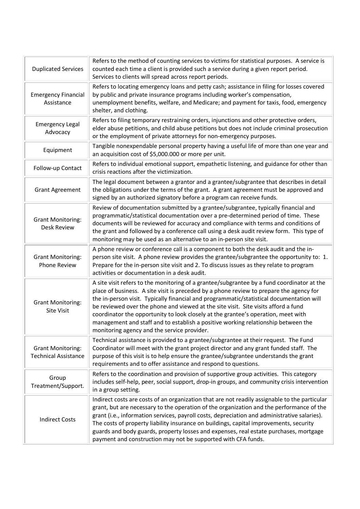| <b>Duplicated Services</b>                              | Refers to the method of counting services to victims for statistical purposes. A service is<br>counted each time a client is provided such a service during a given report period.<br>Services to clients will spread across report periods.                                                                                                                                                                                                                                                                                                                                                     |  |
|---------------------------------------------------------|--------------------------------------------------------------------------------------------------------------------------------------------------------------------------------------------------------------------------------------------------------------------------------------------------------------------------------------------------------------------------------------------------------------------------------------------------------------------------------------------------------------------------------------------------------------------------------------------------|--|
| <b>Emergency Financial</b><br>Assistance                | Refers to locating emergency loans and petty cash; assistance in filing for losses covered<br>by public and private insurance programs including worker's compensation,<br>unemployment benefits, welfare, and Medicare; and payment for taxis, food, emergency<br>shelter, and clothing.                                                                                                                                                                                                                                                                                                        |  |
| <b>Emergency Legal</b><br>Advocacy                      | Refers to filing temporary restraining orders, injunctions and other protective orders,<br>elder abuse petitions, and child abuse petitions but does not include criminal prosecution<br>or the employment of private attorneys for non-emergency purposes.                                                                                                                                                                                                                                                                                                                                      |  |
| Equipment                                               | Tangible nonexpendable personal property having a useful life of more than one year and<br>an acquisition cost of \$5,000.000 or more per unit.                                                                                                                                                                                                                                                                                                                                                                                                                                                  |  |
| Follow-up Contact                                       | Refers to individual emotional support, empathetic listening, and guidance for other than<br>crisis reactions after the victimization.                                                                                                                                                                                                                                                                                                                                                                                                                                                           |  |
| <b>Grant Agreement</b>                                  | The legal document between a grantor and a grantee/subgrantee that describes in detail<br>the obligations under the terms of the grant. A grant agreement must be approved and<br>signed by an authorized signatory before a program can receive funds.                                                                                                                                                                                                                                                                                                                                          |  |
| <b>Grant Monitoring:</b><br><b>Desk Review</b>          | Review of documentation submitted by a grantee/subgrantee, typically financial and<br>programmatic/statistical documentation over a pre-determined period of time. These<br>documents will be reviewed for accuracy and compliance with terms and conditions of<br>the grant and followed by a conference call using a desk audit review form. This type of<br>monitoring may be used as an alternative to an in-person site visit.                                                                                                                                                              |  |
| <b>Grant Monitoring:</b><br>Phone Review                | A phone review or conference call is a component to both the desk audit and the in-<br>person site visit. A phone review provides the grantee/subgrantee the opportunity to: 1.<br>Prepare for the in-person site visit and 2. To discuss issues as they relate to program<br>activities or documentation in a desk audit.                                                                                                                                                                                                                                                                       |  |
| <b>Grant Monitoring:</b><br>Site Visit                  | A site visit refers to the monitoring of a grantee/subgrantee by a fund coordinator at the<br>place of business. A site visit is preceded by a phone review to prepare the agency for<br>the in-person visit. Typically financial and programmatic/statistical documentation will<br>be reviewed over the phone and viewed at the site visit. Site visits afford a fund<br>coordinator the opportunity to look closely at the grantee's operation, meet with<br>management and staff and to establish a positive working relationship between the<br>monitoring agency and the service provider. |  |
| <b>Grant Monitoring:</b><br><b>Technical Assistance</b> | Technical assistance is provided to a grantee/subgrantee at their request. The Fund<br>Coordinator will meet with the grant project director and any grant funded staff. The<br>purpose of this visit is to help ensure the grantee/subgrantee understands the grant<br>requirements and to offer assistance and respond to questions.                                                                                                                                                                                                                                                           |  |
| Group<br>Treatment/Support.                             | Refers to the coordination and provision of supportive group activities. This category<br>includes self-help, peer, social support, drop-in groups, and community crisis intervention<br>in a group setting.                                                                                                                                                                                                                                                                                                                                                                                     |  |
| <b>Indirect Costs</b>                                   | Indirect costs are costs of an organization that are not readily assignable to the particular<br>grant, but are necessary to the operation of the organization and the performance of the<br>grant (i.e., information services, payroll costs, depreciation and administrative salaries).<br>The costs of property liability insurance on buildings, capital improvements, security<br>guards and body guards, property losses and expenses, real estate purchases, mortgage<br>payment and construction may not be supported with CFA funds.                                                    |  |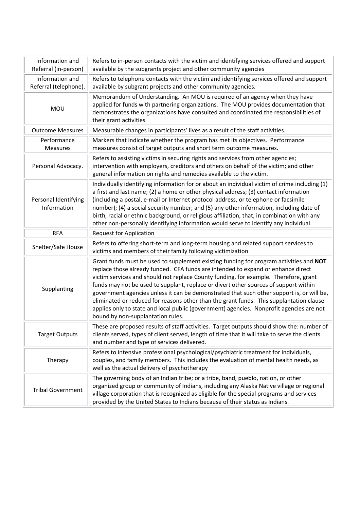| Information and<br>Referral (in-person)  | Refers to in-person contacts with the victim and identifying services offered and support<br>available by the subgrants project and other community agencies                                                                                                                                                                                                                                                                                                                                                                                                                                                                                                                        |  |  |
|------------------------------------------|-------------------------------------------------------------------------------------------------------------------------------------------------------------------------------------------------------------------------------------------------------------------------------------------------------------------------------------------------------------------------------------------------------------------------------------------------------------------------------------------------------------------------------------------------------------------------------------------------------------------------------------------------------------------------------------|--|--|
| Information and<br>Referral (telephone). | Refers to telephone contacts with the victim and identifying services offered and support<br>available by subgrant projects and other community agencies.                                                                                                                                                                                                                                                                                                                                                                                                                                                                                                                           |  |  |
| <b>MOU</b>                               | Memorandum of Understanding. An MOU is required of an agency when they have<br>applied for funds with partnering organizations. The MOU provides documentation that<br>demonstrates the organizations have consulted and coordinated the responsibilities of<br>their grant activities.                                                                                                                                                                                                                                                                                                                                                                                             |  |  |
| <b>Outcome Measures</b>                  | Measurable changes in participants' lives as a result of the staff activities.                                                                                                                                                                                                                                                                                                                                                                                                                                                                                                                                                                                                      |  |  |
| Performance<br><b>Measures</b>           | Markers that indicate whether the program has met its objectives. Performance<br>measures consist of target outputs and short term outcome measures.                                                                                                                                                                                                                                                                                                                                                                                                                                                                                                                                |  |  |
| Personal Advocacy.                       | Refers to assisting victims in securing rights and services from other agencies;<br>intervention with employers, creditors and others on behalf of the victim; and other<br>general information on rights and remedies available to the victim.                                                                                                                                                                                                                                                                                                                                                                                                                                     |  |  |
| Personal Identifying<br>Information      | Individually identifying information for or about an individual victim of crime including (1)<br>a first and last name; (2) a home or other physical address; (3) contact information<br>(including a postal, e-mail or Internet protocol address, or telephone or facsimile<br>number); (4) a social security number; and (5) any other information, including date of<br>birth, racial or ethnic background, or religious affiliation, that, in combination with any<br>other non-personally identifying information would serve to identify any individual.                                                                                                                      |  |  |
| <b>RFA</b>                               | <b>Request for Application</b>                                                                                                                                                                                                                                                                                                                                                                                                                                                                                                                                                                                                                                                      |  |  |
| Shelter/Safe House                       | Refers to offering short-term and long-term housing and related support services to<br>victims and members of their family following victimization                                                                                                                                                                                                                                                                                                                                                                                                                                                                                                                                  |  |  |
| Supplanting                              | Grant funds must be used to supplement existing funding for program activities and NOT<br>replace those already funded. CFA funds are intended to expand or enhance direct<br>victim services and should not replace County funding, for example. Therefore, grant<br>funds may not be used to supplant, replace or divert other sources of support within<br>government agencies unless it can be demonstrated that such other support is, or will be,<br>eliminated or reduced for reasons other than the grant funds. This supplantation clause<br>applies only to state and local public (government) agencies. Nonprofit agencies are not<br>bound by non-supplantation rules. |  |  |
| <b>Target Outputs</b>                    | These are proposed results of staff activities. Target outputs should show the: number of<br>clients served, types of client served, length of time that it will take to serve the clients<br>and number and type of services delivered.                                                                                                                                                                                                                                                                                                                                                                                                                                            |  |  |
| Therapy                                  | Refers to intensive professional psychological/psychiatric treatment for individuals,<br>couples, and family members. This includes the evaluation of mental health needs, as<br>well as the actual delivery of psychotherapy                                                                                                                                                                                                                                                                                                                                                                                                                                                       |  |  |
| <b>Tribal Government</b>                 | The governing body of an Indian tribe; or a tribe, band, pueblo, nation, or other<br>organized group or community of Indians, including any Alaska Native village or regional<br>village corporation that is recognized as eligible for the special programs and services<br>provided by the United States to Indians because of their status as Indians.                                                                                                                                                                                                                                                                                                                           |  |  |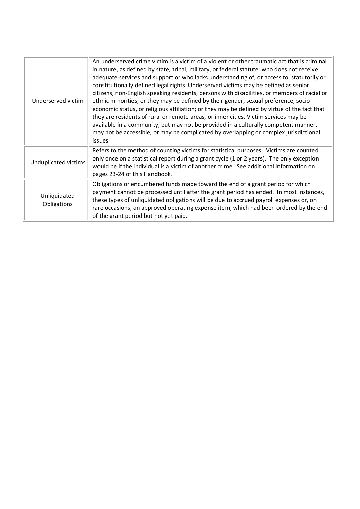| Underserved victim          | An underserved crime victim is a victim of a violent or other traumatic act that is criminal<br>in nature, as defined by state, tribal, military, or federal statute, who does not receive<br>adequate services and support or who lacks understanding of, or access to, statutorily or<br>constitutionally defined legal rights. Underserved victims may be defined as senior<br>citizens, non-English speaking residents, persons with disabilities, or members of racial or<br>ethnic minorities; or they may be defined by their gender, sexual preference, socio-<br>economic status, or religious affiliation; or they may be defined by virtue of the fact that<br>they are residents of rural or remote areas, or inner cities. Victim services may be<br>available in a community, but may not be provided in a culturally competent manner,<br>may not be accessible, or may be complicated by overlapping or complex jurisdictional<br>issues. |
|-----------------------------|-----------------------------------------------------------------------------------------------------------------------------------------------------------------------------------------------------------------------------------------------------------------------------------------------------------------------------------------------------------------------------------------------------------------------------------------------------------------------------------------------------------------------------------------------------------------------------------------------------------------------------------------------------------------------------------------------------------------------------------------------------------------------------------------------------------------------------------------------------------------------------------------------------------------------------------------------------------|
| Unduplicated victims        | Refers to the method of counting victims for statistical purposes. Victims are counted<br>only once on a statistical report during a grant cycle (1 or 2 years). The only exception<br>would be if the individual is a victim of another crime. See additional information on<br>pages 23-24 of this Handbook.                                                                                                                                                                                                                                                                                                                                                                                                                                                                                                                                                                                                                                            |
| Unliquidated<br>Obligations | Obligations or encumbered funds made toward the end of a grant period for which<br>payment cannot be processed until after the grant period has ended. In most instances,<br>these types of unliquidated obligations will be due to accrued payroll expenses or, on<br>rare occasions, an approved operating expense item, which had been ordered by the end<br>of the grant period but not yet paid.                                                                                                                                                                                                                                                                                                                                                                                                                                                                                                                                                     |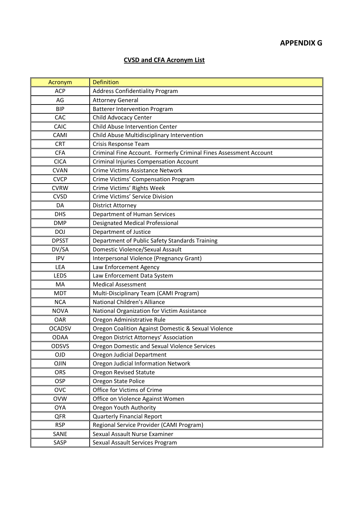# **APPENDIX G**

# **CVSD and CFA Acronym List**

| Acronym       | <b>Definition</b>                                                 |
|---------------|-------------------------------------------------------------------|
| <b>ACP</b>    | <b>Address Confidentiality Program</b>                            |
| AG            | <b>Attorney General</b>                                           |
| <b>BIP</b>    | <b>Batterer Intervention Program</b>                              |
| CAC           | Child Advocacy Center                                             |
| CAIC          | Child Abuse Intervention Center                                   |
| CAMI          | Child Abuse Multidisciplinary Intervention                        |
| <b>CRT</b>    | Crisis Response Team                                              |
| <b>CFA</b>    | Criminal Fine Account. Formerly Criminal Fines Assessment Account |
| <b>CICA</b>   | <b>Criminal Injuries Compensation Account</b>                     |
| <b>CVAN</b>   | Crime Victims Assistance Network                                  |
| <b>CVCP</b>   | Crime Victims' Compensation Program                               |
| <b>CVRW</b>   | Crime Victims' Rights Week                                        |
| <b>CVSD</b>   | Crime Victims' Service Division                                   |
| DA            | <b>District Attorney</b>                                          |
| <b>DHS</b>    | Department of Human Services                                      |
| <b>DMP</b>    | <b>Designated Medical Professional</b>                            |
| <b>DOJ</b>    | Department of Justice                                             |
| <b>DPSST</b>  | Department of Public Safety Standards Training                    |
| DV/SA         | Domestic Violence/Sexual Assault                                  |
| <b>IPV</b>    | Interpersonal Violence (Pregnancy Grant)                          |
| <b>LEA</b>    | Law Enforcement Agency                                            |
| LEDS          | Law Enforcement Data System                                       |
| MA            | <b>Medical Assessment</b>                                         |
| <b>MDT</b>    | Multi-Disciplinary Team (CAMI Program)                            |
| <b>NCA</b>    | National Children's Alliance                                      |
| <b>NOVA</b>   | National Organization for Victim Assistance                       |
| OAR           | Oregon Administrative Rule                                        |
| <b>OCADSV</b> | Oregon Coalition Against Domestic & Sexual Violence               |
| <b>ODAA</b>   | Oregon District Attorneys' Association                            |
| <b>ODSVS</b>  | Oregon Domestic and Sexual Violence Services                      |
| <b>OJD</b>    | Oregon Judicial Department                                        |
| <b>OJIN</b>   | Oregon Judicial Information Network                               |
| ORS           | <b>Oregon Revised Statute</b>                                     |
| <b>OSP</b>    | Oregon State Police                                               |
| <b>OVC</b>    | Office for Victims of Crime                                       |
| <b>OVW</b>    | Office on Violence Against Women                                  |
| <b>OYA</b>    | Oregon Youth Authority                                            |
| QFR           | Quarterly Financial Report                                        |
| <b>RSP</b>    | Regional Service Provider (CAMI Program)                          |
| SANE          | Sexual Assault Nurse Examiner                                     |
| SASP          | Sexual Assault Services Program                                   |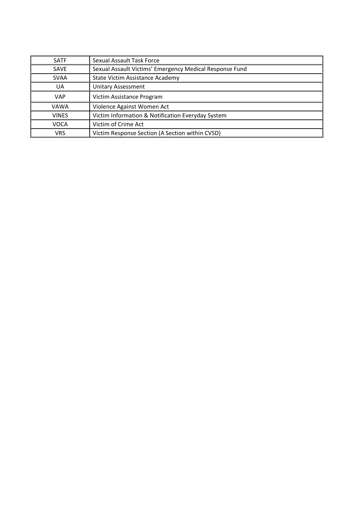| <b>SATF</b>  | Sexual Assault Task Force                               |
|--------------|---------------------------------------------------------|
| <b>SAVE</b>  | Sexual Assault Victims' Emergency Medical Response Fund |
| <b>SVAA</b>  | State Victim Assistance Academy                         |
| UA           | <b>Unitary Assessment</b>                               |
| <b>VAP</b>   | Victim Assistance Program                               |
| <b>VAWA</b>  | Violence Against Women Act                              |
| <b>VINES</b> | Victim Information & Notification Everyday System       |
| <b>VOCA</b>  | Victim of Crime Act                                     |
| <b>VRS</b>   | Victim Response Section (A Section within CVSD)         |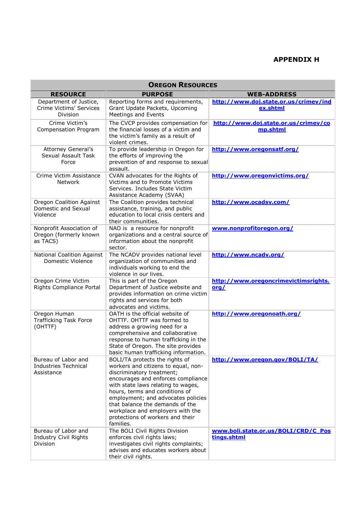# **APPENDIX H**

| <b>OREGON RESOURCES</b>                                          |                                                                                                                                                                                                                                                                                                                                                                                |                                                    |  |
|------------------------------------------------------------------|--------------------------------------------------------------------------------------------------------------------------------------------------------------------------------------------------------------------------------------------------------------------------------------------------------------------------------------------------------------------------------|----------------------------------------------------|--|
| <b>RESOURCE</b>                                                  | <b>PURPOSE</b>                                                                                                                                                                                                                                                                                                                                                                 | <b>WEB-ADDRESS</b>                                 |  |
| Department of Justice,<br>Crime Victims' Services<br>Division    | Reporting forms and requirements,<br>Grant Update Packets, Upcoming<br><b>Meetings and Events</b>                                                                                                                                                                                                                                                                              | http://www.doj.state.or.us/crimev/ind<br>ex.shtml  |  |
| Crime Victim's<br>Compensation Program                           | The CVCP provides compensation for<br>the financial losses of a victim and<br>the victim's family as a result of<br>violent crimes.                                                                                                                                                                                                                                            | http://www.doj.state.or.us/crimev/co<br>mp.shtml   |  |
| Attorney General's<br>Sexual Assault Task<br>Force               | To provide leadership in Oregon for<br>the efforts of improving the<br>prevention of and response to sexual<br>assault.                                                                                                                                                                                                                                                        | http://www.oregonsatf.org/                         |  |
| Crime Victim Assistance<br><b>Network</b>                        | CVAN advocates for the Rights of<br>Victims and to Promote Victims<br>Services, Includes State Victim<br>Assistance Academy (SVAA)                                                                                                                                                                                                                                             | http://www.oregonvictims.org/                      |  |
| Oregon Coalition Against<br>Domestic and Sexual<br>Violence      | The Coalition provides technical<br>assistance, training, and public<br>education to local crisis centers and<br>their communities.                                                                                                                                                                                                                                            | http://www.ocadsv.com/                             |  |
| Nonprofit Association of<br>Oregon (formerly known<br>as TACS)   | NAO is a resource for nonprofit<br>organizations and a central source of<br>information about the nonprofit<br>sector.                                                                                                                                                                                                                                                         | www.nonprofitoregon.org/                           |  |
| <b>National Coalition Against</b><br>Domestic Violence           | The NCADV provides national level<br>organization of communities and<br>individuals working to end the<br>violence in our lives.                                                                                                                                                                                                                                               | http://www.ncadv.org/                              |  |
| Oregon Crime Victim<br>Rights Compliance Portal                  | This is part of the Oregon<br>Department of Justice website and<br>provides information on crime victim<br>rights and services for both<br>advocates and victims.                                                                                                                                                                                                              | http://www.oregoncrimevictimsrights.<br>$org$      |  |
| Oregon Human<br>Trafficking Task Force<br>(OHTTF)                | OATH is the official website of<br>OHTTF. OHTTF was formed to<br>address a growing need for a<br>comprehensive and collaborative<br>response to human trafficking in the<br>State of Oregon. The site provides<br>basic human trafficking information.                                                                                                                         | http://www.oregonoath.org/                         |  |
| Bureau of Labor and<br><b>Industries Technical</b><br>Assistance | BOLI/TA protects the rights of<br>workers and citizens to equal, non-<br>discriminatory treatment;<br>encourages and enforces compliance<br>with state laws relating to wages,<br>hours, terms and conditions of<br>employment; and advocates policies<br>that balance the demands of the<br>workplace and employers with the<br>protections of workers and their<br>families. | http://www.oregon.gov/BOLI/TA/                     |  |
| Bureau of Labor and<br>Industry Civil Rights<br><b>Division</b>  | The BOLI Civil Rights Division<br>enforces civil rights laws;<br>investigates civil rights complaints;<br>advises and educates workers about<br>their civil rights.                                                                                                                                                                                                            | www.boli.state.or.us/BOLI/CRD/C Pos<br>tings.shtml |  |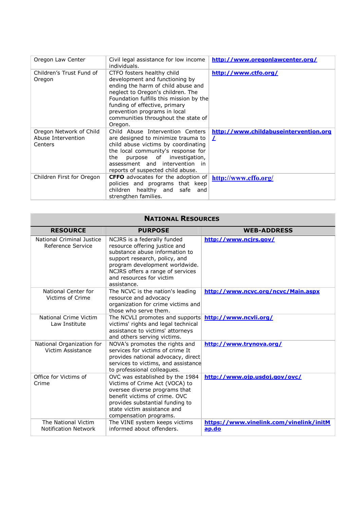| Oregon Law Center                                        | Civil legal assistance for low income<br>individuals.                                                                                                                                                                                                                                                 | http://www.oregonlawcenter.org/                   |
|----------------------------------------------------------|-------------------------------------------------------------------------------------------------------------------------------------------------------------------------------------------------------------------------------------------------------------------------------------------------------|---------------------------------------------------|
| Children's Trust Fund of<br>Oregon                       | CTFO fosters healthy child<br>development and functioning by<br>ending the harm of child abuse and<br>neglect to Oregon's children. The<br>Foundation fulfills this mission by the<br>funding of effective, primary<br>prevention programs in local<br>communities throughout the state of<br>Oregon. | http://www.ctfo.org/                              |
| Oregon Network of Child<br>Abuse Intervention<br>Centers | Child Abuse Intervention Centers<br>are designed to minimize trauma to<br>child abuse victims by coordinating<br>the local community's response for<br>purpose of investigation,<br>the<br>assessment and intervention in<br>reports of suspected child abuse.                                        | http://www.childabuseintervention.org<br>$\prime$ |
| Children First for Oregon                                | <b>CFFO</b> advocates for the adoption of<br>policies and programs that keep<br>children healthy and safe and<br>strengthen families.                                                                                                                                                                 | http://www.cffo.org/                              |

| <b>NATIONAL RESOURCES</b>                      |                                                                                                                                                                                                                                                  |                                                  |  |
|------------------------------------------------|--------------------------------------------------------------------------------------------------------------------------------------------------------------------------------------------------------------------------------------------------|--------------------------------------------------|--|
| <b>RESOURCE</b>                                | <b>PURPOSE</b>                                                                                                                                                                                                                                   | <b>WEB-ADDRESS</b>                               |  |
| National Criminal Justice<br>Reference Service | NCJRS is a federally funded<br>resource offering justice and<br>substance abuse information to<br>support research, policy, and<br>program development worldwide.<br>NCJRS offers a range of services<br>and resources for victim<br>assistance. | http://www.ncjrs.gov/                            |  |
| National Center for<br>Victims of Crime        | The NCVC is the nation's leading<br>resource and advocacy<br>organization for crime victims and<br>those who serve them.                                                                                                                         | http://www.ncvc.org/ncvc/Main.aspx               |  |
| National Crime Victim<br>Law Institute         | The NCVLI promotes and supports<br>victims' rights and legal technical<br>assistance to victims' attorneys<br>and others serving victims.                                                                                                        | http://www.ncvli.org/                            |  |
| National Organization for<br>Victim Assistance | NOVA's promotes the rights and<br>services for victims of crime It<br>provides national advocacy, direct<br>services to victims, and assistance<br>to professional colleagues.                                                                   | http://www.trynova.org/                          |  |
| Office for Victims of<br>Crime                 | OVC was established by the 1984<br>Victims of Crime Act (VOCA) to<br>oversee diverse programs that<br>benefit victims of crime. OVC<br>provides substantial funding to<br>state victim assistance and<br>compensation programs.                  | http://www.ojp.usdoj.gov/ovc/                    |  |
| The National Victim<br>Notification Network    | The VINE system keeps victims<br>informed about offenders.                                                                                                                                                                                       | https://www.vinelink.com/vinelink/initM<br>ap.do |  |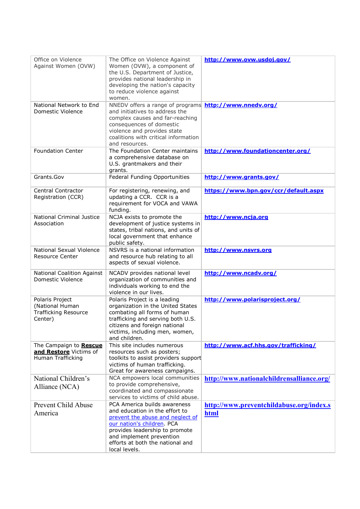| Office on Violence<br>Against Women (OVW)                                    | The Office on Violence Against<br>Women (OVW), a component of<br>the U.S. Department of Justice,<br>provides national leadership in<br>developing the nation's capacity<br>to reduce violence against<br>women.                                     | http://www.ovw.usdoj.gov/                        |
|------------------------------------------------------------------------------|-----------------------------------------------------------------------------------------------------------------------------------------------------------------------------------------------------------------------------------------------------|--------------------------------------------------|
| National Network to End<br>Domestic Violence                                 | NNEDV offers a range of programs http://www.nnedv.org/<br>and initiatives to address the<br>complex causes and far-reaching<br>consequences of domestic<br>violence and provides state<br>coalitions with critical information<br>and resources.    |                                                  |
| <b>Foundation Center</b>                                                     | The Foundation Center maintains<br>a comprehensive database on<br>U.S. grantmakers and their<br>grants.                                                                                                                                             | http://www.foundationcenter.org/                 |
| Grants.Gov                                                                   | Federal Funding Opportunities                                                                                                                                                                                                                       | http://www.grants.gov/                           |
| Central Contractor<br>Registration (CCR)                                     | For registering, renewing, and<br>updating a CCR. CCR is a<br>requirement for VOCA and VAWA<br>funding.                                                                                                                                             | https://www.bpn.gov/ccr/default.aspx             |
| <b>National Criminal Justice</b><br>Association                              | NCJA exists to promote the<br>development of justice systems in<br>states, tribal nations, and units of<br>local government that enhance<br>public safety.                                                                                          | http://www.ncja.org                              |
| National Sexual Violence<br><b>Resource Center</b>                           | NSVRS is a national information<br>and resource hub relating to all<br>aspects of sexual violence.                                                                                                                                                  | http://www.nsvrs.org                             |
| <b>National Coalition Against</b><br>Domestic Violence                       | NCADV provides national level<br>organization of communities and<br>individuals working to end the<br>violence in our lives.                                                                                                                        | http://www.ncadv.org/                            |
| Polaris Project<br>(National Human<br><b>Trafficking Resource</b><br>Center) | Polaris Project is a leading<br>organization in the United States<br>combating all forms of human<br>trafficking and serving both U.S.<br>citizens and foreign national<br>victims, including men, women,<br>and children.                          | http://www.polarisproject.org/                   |
| The Campaign to Rescue<br>and Restore Victims of<br>Human Trafficking        | This site includes numerous<br>resources such as posters;<br>toolkits to assist providers support<br>victims of human trafficking.<br>Great for awareness campaigns.                                                                                | http://www.acf.hhs.gov/trafficking/              |
| National Children's<br>Alliance (NCA)                                        | NCA empowers local communities<br>to provide comprehensive,<br>coordinated and compassionate<br>services to victims of child abuse.                                                                                                                 | http://www.nationalchildrensalliance.org/        |
| Prevent Child Abuse<br>America                                               | PCA America builds awareness<br>and education in the effort to<br>prevent the abuse and neglect of<br>our nation's children. PCA<br>provides leadership to promote<br>and implement prevention<br>efforts at both the national and<br>local levels. | http://www.preventchildabuse.org/index.s<br>html |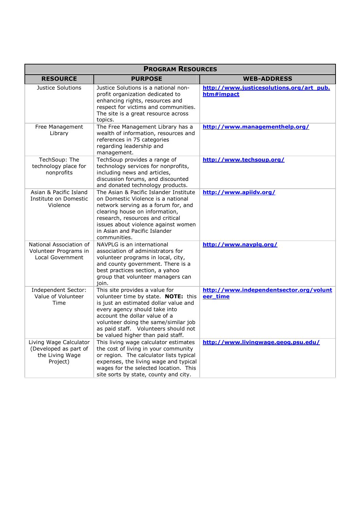| <b>PROGRAM RESOURCES</b>                                                       |                                                                                                                                                                                                                                                                                                       |                                                        |
|--------------------------------------------------------------------------------|-------------------------------------------------------------------------------------------------------------------------------------------------------------------------------------------------------------------------------------------------------------------------------------------------------|--------------------------------------------------------|
| <b>RESOURCE</b>                                                                | <b>PURPOSE</b>                                                                                                                                                                                                                                                                                        | <b>WEB-ADDRESS</b>                                     |
| Justice Solutions                                                              | Justice Solutions is a national non-<br>profit organization dedicated to<br>enhancing rights, resources and<br>respect for victims and communities.<br>The site is a great resource across<br>topics.                                                                                                 | http://www.justicesolutions.org/art_pub.<br>htm#impact |
| Free Management<br>Library                                                     | The Free Management Library has a<br>wealth of information, resources and<br>references in 75 categories<br>regarding leadership and<br>management.                                                                                                                                                   | http://www.managementhelp.org/                         |
| TechSoup: The<br>technology place for<br>nonprofits                            | TechSoup provides a range of<br>technology services for nonprofits,<br>including news and articles,<br>discussion forums, and discounted<br>and donated technology products.                                                                                                                          | http://www.techsoup.org/                               |
| Asian & Pacific Island<br>Institute on Domestic<br>Violence                    | The Asian & Pacific Islander Institute<br>on Domestic Violence is a national<br>network serving as a forum for, and<br>clearing house on information,<br>research, resources and critical<br>issues about violence against women<br>in Asian and Pacific Islander<br>communities.                     | http://www.apiidv.org/                                 |
| National Association of<br>Volunteer Programs in<br>Local Government           | NAVPLG is an international<br>association of administrators for<br>volunteer programs in local, city,<br>and county government. There is a<br>best practices section, a yahoo<br>group that volunteer managers can<br>join.                                                                           | http://www.navplg.org/                                 |
| Independent Sector:<br>Value of Volunteer<br>Time                              | This site provides a value for<br>volunteer time by state. NOTE: this<br>is just an estimated dollar value and<br>every agency should take into<br>account the dollar value of a<br>volunteer doing the same/similar job<br>as paid staff. Volunteers should not<br>be valued higher than paid staff. | http://www.independentsector.org/volunt<br>eer_time    |
| Living Wage Calculator<br>(Developed as part of<br>the Living Wage<br>Project) | This living wage calculator estimates<br>the cost of living in your community<br>or region. The calculator lists typical<br>expenses, the living wage and typical<br>wages for the selected location. This<br>site sorts by state, county and city.                                                   | http://www.livingwage.geog.psu.edu/                    |